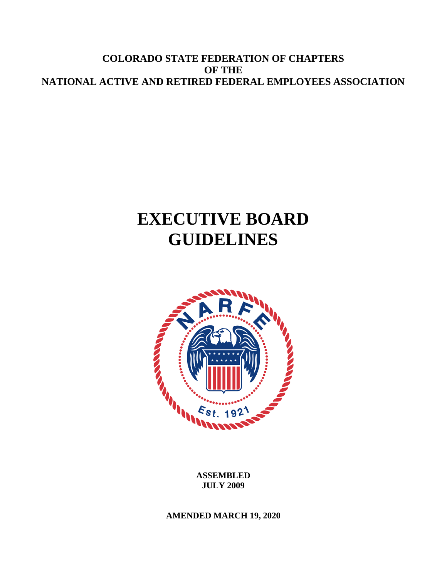**COLORADO STATE FEDERATION OF CHAPTERS OF THE NATIONAL ACTIVE AND RETIRED FEDERAL EMPLOYEES ASSOCIATION**

# **EXECUTIVE BOARD GUIDELINES**



**ASSEMBLED JULY 2009**

**AMENDED MARCH 19, 2020**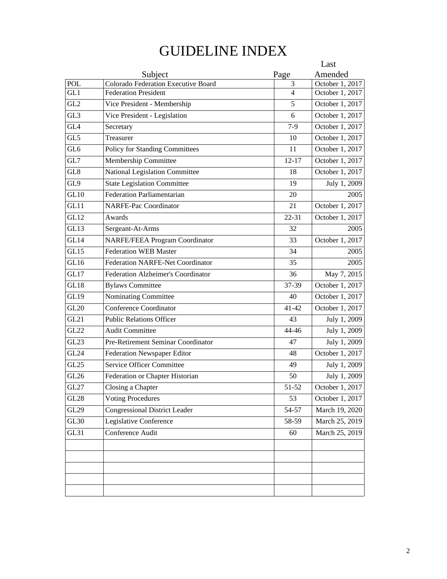# GUIDELINE INDEX

|                 |                                           |                | Last            |
|-----------------|-------------------------------------------|----------------|-----------------|
|                 | Subject                                   | Page           | Amended         |
| POL             | Colorado Federation Executive Board       | 3              | October 1, 2017 |
| GL1             | <b>Federation President</b>               | $\overline{4}$ | October 1, 2017 |
| GL <sub>2</sub> | Vice President - Membership               | 5              | October 1, 2017 |
| GL3             | Vice President - Legislation              | 6              | October 1, 2017 |
| GL <sub>4</sub> | Secretary                                 | $7-9$          | October 1, 2017 |
| GL5             | Treasurer                                 | 10             | October 1, 2017 |
| GL <sub>6</sub> | Policy for Standing Committees            | 11             | October 1, 2017 |
| GL7             | Membership Committee                      | $12 - 17$      | October 1, 2017 |
| GL8             | National Legislation Committee            | 18             | October 1, 2017 |
| GL9             | <b>State Legislation Committee</b>        | 19             | July 1, 2009    |
| GL10            | <b>Federation Parliamentarian</b>         | 20             | 2005            |
| GL11            | <b>NARFE-Pac Coordinator</b>              | 21             | October 1, 2017 |
| <b>GL12</b>     | Awards                                    | 22-31          | October 1, 2017 |
| GL13            | Sergeant-At-Arms                          | 32             | 2005            |
| GL14            | <b>NARFE/FEEA Program Coordinator</b>     | 33             | October 1, 2017 |
| GL15            | <b>Federation WEB Master</b>              | 34             | 2005            |
| GL16            | <b>Federation NARFE-Net Coordinator</b>   | 35             | 2005            |
| GL17            | <b>Federation Alzheimer's Coordinator</b> | 36             | May 7, 2015     |
| GL18            | <b>Bylaws Committee</b>                   | 37-39          | October 1, 2017 |
| <b>GL19</b>     | Nominating Committee                      | 40             | October 1, 2017 |
| <b>GL20</b>     | Conference Coordinator                    | $41 - 42$      | October 1, 2017 |
| GL21            | <b>Public Relations Officer</b>           | 43             | July 1, 2009    |
| GL22            | <b>Audit Committee</b>                    | 44-46          | July 1, 2009    |
| <b>GL23</b>     | Pre-Retirement Seminar Coordinator        | 47             | July 1, 2009    |
| <b>GL24</b>     | <b>Federation Newspaper Editor</b>        | 48             | October 1, 2017 |
| GL25            | <b>Service Officer Committee</b>          | 49             | July 1, 2009    |
| GL26            | Federation or Chapter Historian           | 50             | July 1, 2009    |
| GL27            | Closing a Chapter                         | 51-52          | October 1, 2017 |
| GL28            | <b>Voting Procedures</b>                  | 53             | October 1, 2017 |
| GL29            | <b>Congressional District Leader</b>      | 54-57          | March 19, 2020  |
| GL30            | Legislative Conference                    | 58-59          | March 25, 2019  |
| GL31            | Conference Audit                          | 60             | March 25, 2019  |
|                 |                                           |                |                 |
|                 |                                           |                |                 |
|                 |                                           |                |                 |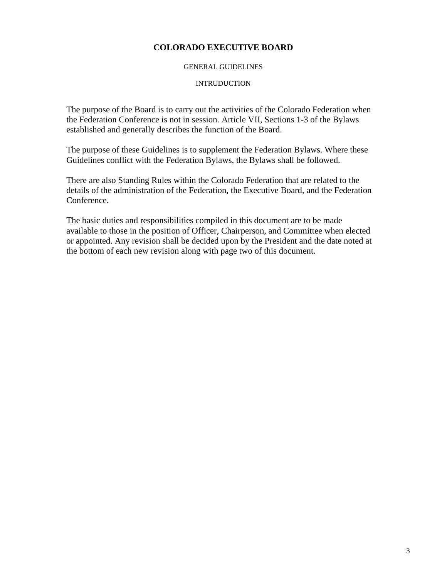### **COLORADO EXECUTIVE BOARD**

#### GENERAL GUIDELINES

#### **INTRUDUCTION**

The purpose of the Board is to carry out the activities of the Colorado Federation when the Federation Conference is not in session. Article VII, Sections 1-3 of the Bylaws established and generally describes the function of the Board.

The purpose of these Guidelines is to supplement the Federation Bylaws. Where these Guidelines conflict with the Federation Bylaws, the Bylaws shall be followed.

There are also Standing Rules within the Colorado Federation that are related to the details of the administration of the Federation, the Executive Board, and the Federation Conference.

The basic duties and responsibilities compiled in this document are to be made available to those in the position of Officer, Chairperson, and Committee when elected or appointed. Any revision shall be decided upon by the President and the date noted at the bottom of each new revision along with page two of this document.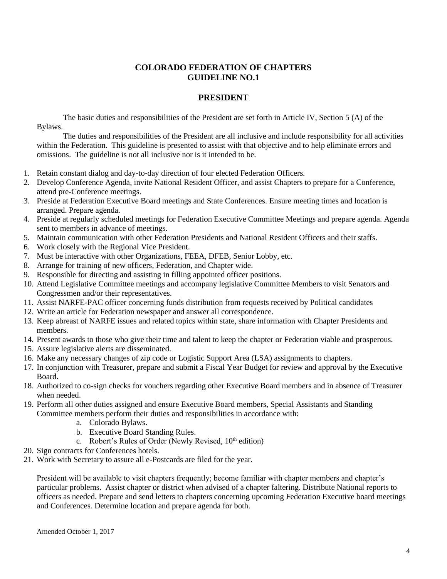### **PRESIDENT**

The basic duties and responsibilities of the President are set forth in Article IV, Section 5 (A) of the Bylaws.

The duties and responsibilities of the President are all inclusive and include responsibility for all activities within the Federation. This guideline is presented to assist with that objective and to help eliminate errors and omissions. The guideline is not all inclusive nor is it intended to be.

- 1. Retain constant dialog and day-to-day direction of four elected Federation Officers.
- 2. Develop Conference Agenda, invite National Resident Officer, and assist Chapters to prepare for a Conference, attend pre-Conference meetings.
- 3. Preside at Federation Executive Board meetings and State Conferences. Ensure meeting times and location is arranged. Prepare agenda.
- 4. Preside at regularly scheduled meetings for Federation Executive Committee Meetings and prepare agenda. Agenda sent to members in advance of meetings.
- 5. Maintain communication with other Federation Presidents and National Resident Officers and their staffs.
- 6. Work closely with the Regional Vice President.
- 7. Must be interactive with other Organizations, FEEA, DFEB, Senior Lobby, etc.
- 8. Arrange for training of new officers, Federation, and Chapter wide.
- 9. Responsible for directing and assisting in filling appointed officer positions.
- 10. Attend Legislative Committee meetings and accompany legislative Committee Members to visit Senators and Congressmen and/or their representatives.
- 11. Assist NARFE-PAC officer concerning funds distribution from requests received by Political candidates
- 12. Write an article for Federation newspaper and answer all correspondence.
- 13. Keep abreast of NARFE issues and related topics within state, share information with Chapter Presidents and members.
- 14. Present awards to those who give their time and talent to keep the chapter or Federation viable and prosperous.
- 15. Assure legislative alerts are disseminated.
- 16. Make any necessary changes of zip code or Logistic Support Area (LSA) assignments to chapters.
- 17. In conjunction with Treasurer, prepare and submit a Fiscal Year Budget for review and approval by the Executive Board.
- 18. Authorized to co-sign checks for vouchers regarding other Executive Board members and in absence of Treasurer when needed.
- 19. Perform all other duties assigned and ensure Executive Board members, Special Assistants and Standing Committee members perform their duties and responsibilities in accordance with:
	- a. Colorado Bylaws.
	- b. Executive Board Standing Rules.
	- c. Robert's Rules of Order (Newly Revised,  $10<sup>th</sup>$  edition)
- 20. Sign contracts for Conferences hotels.
- 21. Work with Secretary to assure all e-Postcards are filed for the year.

President will be available to visit chapters frequently; become familiar with chapter members and chapter's particular problems. Assist chapter or district when advised of a chapter faltering. Distribute National reports to officers as needed. Prepare and send letters to chapters concerning upcoming Federation Executive board meetings and Conferences. Determine location and prepare agenda for both.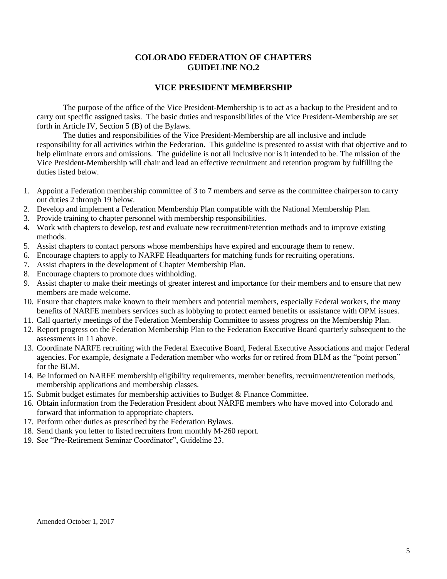#### **VICE PRESIDENT MEMBERSHIP**

The purpose of the office of the Vice President-Membership is to act as a backup to the President and to carry out specific assigned tasks. The basic duties and responsibilities of the Vice President-Membership are set forth in Article IV, Section 5 (B) of the Bylaws.

The duties and responsibilities of the Vice President-Membership are all inclusive and include responsibility for all activities within the Federation. This guideline is presented to assist with that objective and to help eliminate errors and omissions. The guideline is not all inclusive nor is it intended to be. The mission of the Vice President-Membership will chair and lead an effective recruitment and retention program by fulfilling the duties listed below.

- 1. Appoint a Federation membership committee of 3 to 7 members and serve as the committee chairperson to carry out duties 2 through 19 below.
- 2. Develop and implement a Federation Membership Plan compatible with the National Membership Plan.
- 3. Provide training to chapter personnel with membership responsibilities.
- 4. Work with chapters to develop, test and evaluate new recruitment/retention methods and to improve existing methods.
- 5. Assist chapters to contact persons whose memberships have expired and encourage them to renew.
- 6. Encourage chapters to apply to NARFE Headquarters for matching funds for recruiting operations.
- 7. Assist chapters in the development of Chapter Membership Plan.
- 8. Encourage chapters to promote dues withholding.
- 9. Assist chapter to make their meetings of greater interest and importance for their members and to ensure that new members are made welcome.
- 10. Ensure that chapters make known to their members and potential members, especially Federal workers, the many benefits of NARFE members services such as lobbying to protect earned benefits or assistance with OPM issues.
- 11. Call quarterly meetings of the Federation Membership Committee to assess progress on the Membership Plan.
- 12. Report progress on the Federation Membership Plan to the Federation Executive Board quarterly subsequent to the assessments in 11 above.
- 13. Coordinate NARFE recruiting with the Federal Executive Board, Federal Executive Associations and major Federal agencies. For example, designate a Federation member who works for or retired from BLM as the "point person" for the BLM.
- 14. Be informed on NARFE membership eligibility requirements, member benefits, recruitment/retention methods, membership applications and membership classes.
- 15. Submit budget estimates for membership activities to Budget & Finance Committee.
- 16. Obtain information from the Federation President about NARFE members who have moved into Colorado and forward that information to appropriate chapters.
- 17. Perform other duties as prescribed by the Federation Bylaws.
- 18. Send thank you letter to listed recruiters from monthly M-260 report.
- 19. See "Pre-Retirement Seminar Coordinator", Guideline 23.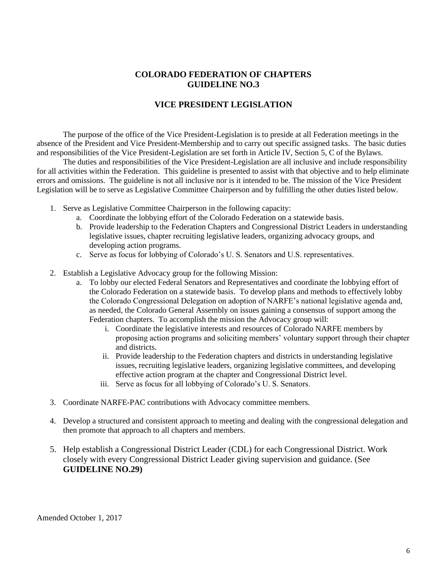## **VICE PRESIDENT LEGISLATION**

The purpose of the office of the Vice President-Legislation is to preside at all Federation meetings in the absence of the President and Vice President-Membership and to carry out specific assigned tasks. The basic duties and responsibilities of the Vice President-Legislation are set forth in Article IV, Section 5, C of the Bylaws.

The duties and responsibilities of the Vice President-Legislation are all inclusive and include responsibility for all activities within the Federation. This guideline is presented to assist with that objective and to help eliminate errors and omissions. The guideline is not all inclusive nor is it intended to be. The mission of the Vice President Legislation will be to serve as Legislative Committee Chairperson and by fulfilling the other duties listed below.

- 1. Serve as Legislative Committee Chairperson in the following capacity:
	- a. Coordinate the lobbying effort of the Colorado Federation on a statewide basis.
	- b. Provide leadership to the Federation Chapters and Congressional District Leaders in understanding legislative issues, chapter recruiting legislative leaders, organizing advocacy groups, and developing action programs.
	- c. Serve as focus for lobbying of Colorado's U. S. Senators and U.S. representatives.
- 2. Establish a Legislative Advocacy group for the following Mission:
	- a. To lobby our elected Federal Senators and Representatives and coordinate the lobbying effort of the Colorado Federation on a statewide basis. To develop plans and methods to effectively lobby the Colorado Congressional Delegation on adoption of NARFE's national legislative agenda and, as needed, the Colorado General Assembly on issues gaining a consensus of support among the Federation chapters. To accomplish the mission the Advocacy group will:
		- i. Coordinate the legislative interests and resources of Colorado NARFE members by proposing action programs and soliciting members' voluntary support through their chapter and districts.
		- ii. Provide leadership to the Federation chapters and districts in understanding legislative issues, recruiting legislative leaders, organizing legislative committees, and developing effective action program at the chapter and Congressional District level.
		- iii. Serve as focus for all lobbying of Colorado's U. S. Senators.
- 3. Coordinate NARFE-PAC contributions with Advocacy committee members.
- 4. Develop a structured and consistent approach to meeting and dealing with the congressional delegation and then promote that approach to all chapters and members.
- 5. Help establish a Congressional District Leader (CDL) for each Congressional District. Work closely with every Congressional District Leader giving supervision and guidance. (See **GUIDELINE NO.29)**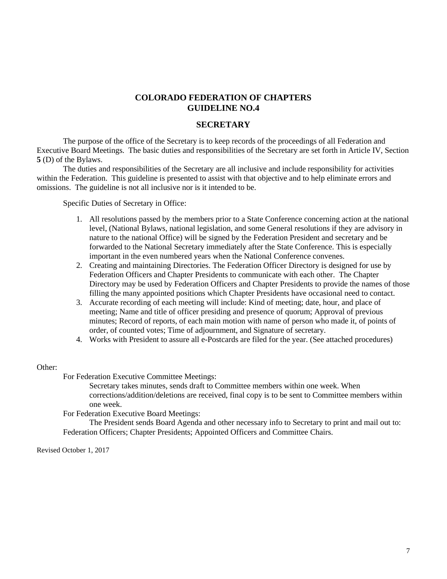#### **SECRETARY**

The purpose of the office of the Secretary is to keep records of the proceedings of all Federation and Executive Board Meetings. The basic duties and responsibilities of the Secretary are set forth in Article IV, Section **5** (D) of the Bylaws.

The duties and responsibilities of the Secretary are all inclusive and include responsibility for activities within the Federation. This guideline is presented to assist with that objective and to help eliminate errors and omissions. The guideline is not all inclusive nor is it intended to be.

Specific Duties of Secretary in Office:

- 1. All resolutions passed by the members prior to a State Conference concerning action at the national level, (National Bylaws, national legislation, and some General resolutions if they are advisory in nature to the national Office) will be signed by the Federation President and secretary and be forwarded to the National Secretary immediately after the State Conference. This is especially important in the even numbered years when the National Conference convenes.
- 2. Creating and maintaining Directories. The Federation Officer Directory is designed for use by Federation Officers and Chapter Presidents to communicate with each other. The Chapter Directory may be used by Federation Officers and Chapter Presidents to provide the names of those filling the many appointed positions which Chapter Presidents have occasional need to contact.
- 3. Accurate recording of each meeting will include: Kind of meeting; date, hour, and place of meeting; Name and title of officer presiding and presence of quorum; Approval of previous minutes; Record of reports, of each main motion with name of person who made it, of points of order, of counted votes; Time of adjournment, and Signature of secretary.
- 4. Works with President to assure all e-Postcards are filed for the year. (See attached procedures)

#### Other:

For Federation Executive Committee Meetings:

Secretary takes minutes, sends draft to Committee members within one week. When corrections/addition/deletions are received, final copy is to be sent to Committee members within one week.

For Federation Executive Board Meetings:

The President sends Board Agenda and other necessary info to Secretary to print and mail out to: Federation Officers; Chapter Presidents; Appointed Officers and Committee Chairs.

Revised October 1, 2017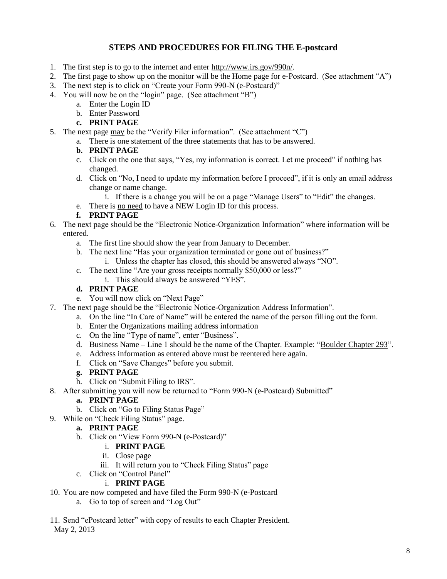## **STEPS AND PROCEDURES FOR FILING THE E-postcard**

- 1. The first step is to go to the internet and enter http:/[/www.irs.gov/990n/](https://www.irs.gov/990n).
- 2. The first page to show up on the monitor will be the Home page for e-Postcard. (See attachment "A")
- 3. The next step is to click on "Create your Form 990-N (e-Postcard)"
- 4. You will now be on the "login" page. (See attachment "B")
	- a. Enter the Login ID
		- b. Enter Password
		- **c. PRINT PAGE**
- 5. The next page may be the "Verify Filer information". (See attachment "C")
	- a. There is one statement of the three statements that has to be answered.

#### **b. PRINT PAGE**

- c. Click on the one that says, "Yes, my information is correct. Let me proceed" if nothing has changed.
- d. Click on "No, I need to update my information before I proceed", if it is only an email address change or name change.
	- i. If there is a change you will be on a page "Manage Users" to "Edit" the changes.
- e. There is no need to have a NEW Login ID for this process.

#### **f. PRINT PAGE**

- 6. The next page should be the "Electronic Notice-Organization Information" where information will be entered.
	- a. The first line should show the year from January to December.
	- b. The next line "Has your organization terminated or gone out of business?"
		- i. Unless the chapter has closed, this should be answered always "NO".
	- c. The next line "Are your gross receipts normally \$50,000 or less?"
		- i. This should always be answered "YES".

#### **d. PRINT PAGE**

- e. You will now click on "Next Page"
- 7. The next page should be the "Electronic Notice-Organization Address Information".
	- a. On the line "In Care of Name" will be entered the name of the person filling out the form.
	- b. Enter the Organizations mailing address information
	- c. On the line "Type of name", enter "Business".
	- d. Business Name Line 1 should be the name of the Chapter. Example: "Boulder Chapter 293".
	- e. Address information as entered above must be reentered here again.
	- f. Click on "Save Changes" before you submit.

#### **g. PRINT PAGE**

- h. Click on "Submit Filing to IRS".
- 8. After submitting you will now be returned to "Form 990-N (e-Postcard) Submitted"

#### **a. PRINT PAGE**

- b. Click on "Go to Filing Status Page"
- 9. While on "Check Filing Status" page.

#### **a. PRINT PAGE**

- b. Click on "View Form 990-N (e-Postcard)"
	- i. **PRINT PAGE**
	- ii. Close page
	- iii. It will return you to "Check Filing Status" page
- c. Click on "Control Panel"

#### i. **PRINT PAGE**

- 10. You are now competed and have filed the Form 990-N (e-Postcard
	- a. Go to top of screen and "Log Out"

## 11. Send "ePostcard letter" with copy of results to each Chapter President.

May 2, 2013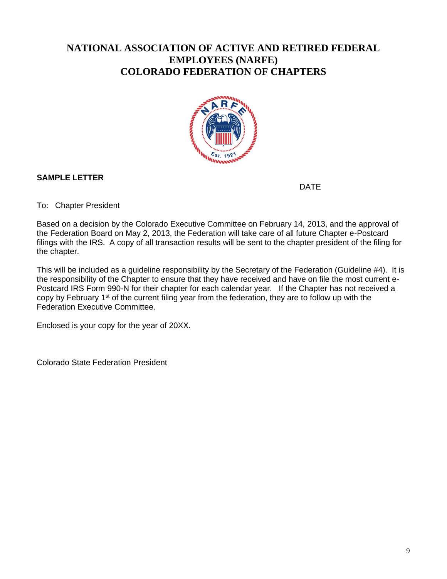## **NATIONAL ASSOCIATION OF ACTIVE AND RETIRED FEDERAL EMPLOYEES (NARFE) COLORADO FEDERATION OF CHAPTERS**



## **SAMPLE LETTER**

DATE

To: Chapter President

Based on a decision by the Colorado Executive Committee on February 14, 2013, and the approval of the Federation Board on May 2, 2013, the Federation will take care of all future Chapter e-Postcard filings with the IRS. A copy of all transaction results will be sent to the chapter president of the filing for the chapter.

This will be included as a guideline responsibility by the Secretary of the Federation (Guideline #4). It is the responsibility of the Chapter to ensure that they have received and have on file the most current e-Postcard IRS Form 990-N for their chapter for each calendar year. If the Chapter has not received a copy by February 1<sup>st</sup> of the current filing year from the federation, they are to follow up with the Federation Executive Committee.

Enclosed is your copy for the year of 20XX.

Colorado State Federation President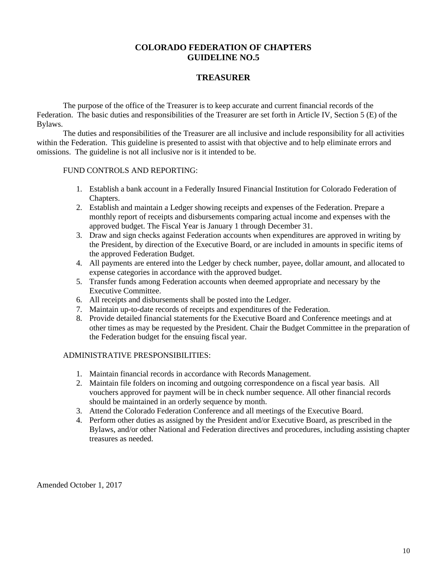### **TREASURER**

The purpose of the office of the Treasurer is to keep accurate and current financial records of the Federation. The basic duties and responsibilities of the Treasurer are set forth in Article IV, Section 5 (E) of the Bylaws.

The duties and responsibilities of the Treasurer are all inclusive and include responsibility for all activities within the Federation. This guideline is presented to assist with that objective and to help eliminate errors and omissions. The guideline is not all inclusive nor is it intended to be.

#### FUND CONTROLS AND REPORTING:

- 1. Establish a bank account in a Federally Insured Financial Institution for Colorado Federation of Chapters.
- 2. Establish and maintain a Ledger showing receipts and expenses of the Federation. Prepare a monthly report of receipts and disbursements comparing actual income and expenses with the approved budget. The Fiscal Year is January 1 through December 31.
- 3. Draw and sign checks against Federation accounts when expenditures are approved in writing by the President, by direction of the Executive Board, or are included in amounts in specific items of the approved Federation Budget.
- 4. All payments are entered into the Ledger by check number, payee, dollar amount, and allocated to expense categories in accordance with the approved budget.
- 5. Transfer funds among Federation accounts when deemed appropriate and necessary by the Executive Committee.
- 6. All receipts and disbursements shall be posted into the Ledger.
- 7. Maintain up-to-date records of receipts and expenditures of the Federation.
- 8. Provide detailed financial statements for the Executive Board and Conference meetings and at other times as may be requested by the President. Chair the Budget Committee in the preparation of the Federation budget for the ensuing fiscal year.

#### ADMINISTRATIVE PRESPONSIBILITIES:

- 1. Maintain financial records in accordance with Records Management.
- 2. Maintain file folders on incoming and outgoing correspondence on a fiscal year basis. All vouchers approved for payment will be in check number sequence. All other financial records should be maintained in an orderly sequence by month.
- 3. Attend the Colorado Federation Conference and all meetings of the Executive Board.
- 4. Perform other duties as assigned by the President and/or Executive Board, as prescribed in the Bylaws, and/or other National and Federation directives and procedures, including assisting chapter treasures as needed.

Amended October 1, 2017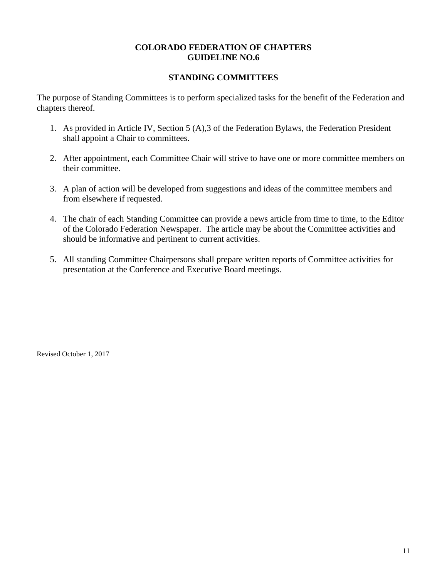## **STANDING COMMITTEES**

The purpose of Standing Committees is to perform specialized tasks for the benefit of the Federation and chapters thereof.

- 1. As provided in Article IV, Section 5 (A),3 of the Federation Bylaws, the Federation President shall appoint a Chair to committees.
- 2. After appointment, each Committee Chair will strive to have one or more committee members on their committee.
- 3. A plan of action will be developed from suggestions and ideas of the committee members and from elsewhere if requested.
- 4. The chair of each Standing Committee can provide a news article from time to time, to the Editor of the Colorado Federation Newspaper. The article may be about the Committee activities and should be informative and pertinent to current activities.
- 5. All standing Committee Chairpersons shall prepare written reports of Committee activities for presentation at the Conference and Executive Board meetings.

Revised October 1, 2017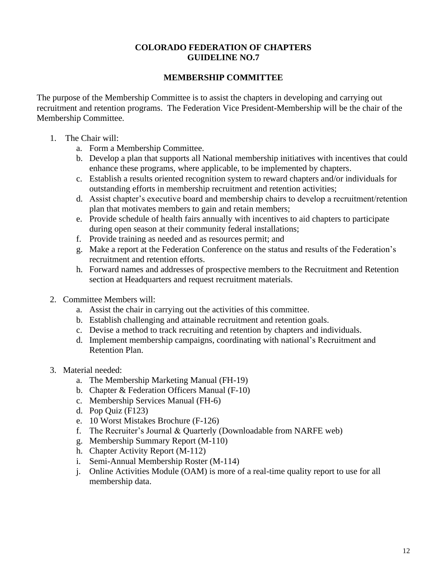## **MEMBERSHIP COMMITTEE**

The purpose of the Membership Committee is to assist the chapters in developing and carrying out recruitment and retention programs. The Federation Vice President-Membership will be the chair of the Membership Committee.

- 1. The Chair will:
	- a. Form a Membership Committee.
	- b. Develop a plan that supports all National membership initiatives with incentives that could enhance these programs, where applicable, to be implemented by chapters.
	- c. Establish a results oriented recognition system to reward chapters and/or individuals for outstanding efforts in membership recruitment and retention activities;
	- d. Assist chapter's executive board and membership chairs to develop a recruitment/retention plan that motivates members to gain and retain members;
	- e. Provide schedule of health fairs annually with incentives to aid chapters to participate during open season at their community federal installations;
	- f. Provide training as needed and as resources permit; and
	- g. Make a report at the Federation Conference on the status and results of the Federation's recruitment and retention efforts.
	- h. Forward names and addresses of prospective members to the Recruitment and Retention section at Headquarters and request recruitment materials.
- 2. Committee Members will:
	- a. Assist the chair in carrying out the activities of this committee.
	- b. Establish challenging and attainable recruitment and retention goals.
	- c. Devise a method to track recruiting and retention by chapters and individuals.
	- d. Implement membership campaigns, coordinating with national's Recruitment and Retention Plan.
- 3. Material needed:
	- a. The Membership Marketing Manual (FH-19)
	- b. Chapter & Federation Officers Manual (F-10)
	- c. Membership Services Manual (FH-6)
	- d. Pop Quiz (F123)
	- e. 10 Worst Mistakes Brochure (F-126)
	- f. The Recruiter's Journal & Quarterly (Downloadable from NARFE web)
	- g. Membership Summary Report (M-110)
	- h. Chapter Activity Report (M-112)
	- i. Semi-Annual Membership Roster (M-114)
	- j. Online Activities Module (OAM) is more of a real-time quality report to use for all membership data.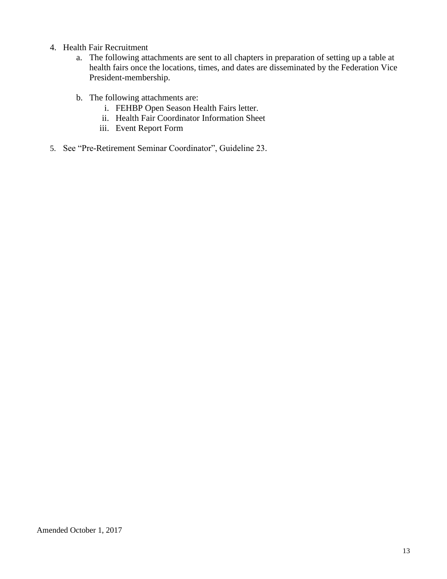- 4. Health Fair Recruitment
	- a. The following attachments are sent to all chapters in preparation of setting up a table at health fairs once the locations, times, and dates are disseminated by the Federation Vice President-membership.
	- b. The following attachments are:
		- i. FEHBP Open Season Health Fairs letter.
		- ii. Health Fair Coordinator Information Sheet
		- iii. Event Report Form
- 5. See "Pre-Retirement Seminar Coordinator", Guideline 23.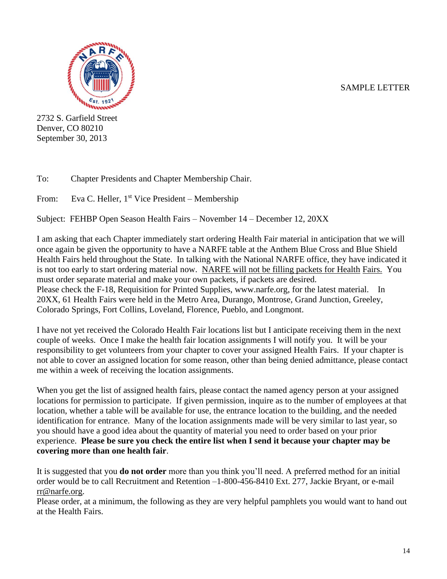## SAMPLE LETTER



2732 S. Garfield Street Denver, CO 80210 September 30, 2013

To: Chapter Presidents and Chapter Membership Chair.

From: Eva C. Heller, 1<sup>st</sup> Vice President – Membership

Subject: FEHBP Open Season Health Fairs – November 14 – December 12, 20XX

I am asking that each Chapter immediately start ordering Health Fair material in anticipation that we will once again be given the opportunity to have a NARFE table at the Anthem Blue Cross and Blue Shield Health Fairs held throughout the State. In talking with the National NARFE office, they have indicated it is not too early to start ordering material now. NARFE will not be filling packets for Health Fairs. You must order separate material and make your own packets, if packets are desired. Please check the F-18, Requisition for Printed Supplies, www.narfe.org, for the latest material. In 20XX, 61 Health Fairs were held in the Metro Area, Durango, Montrose, Grand Junction, Greeley, Colorado Springs, Fort Collins, Loveland, Florence, Pueblo, and Longmont.

I have not yet received the Colorado Health Fair locations list but I anticipate receiving them in the next couple of weeks. Once I make the health fair location assignments I will notify you. It will be your responsibility to get volunteers from your chapter to cover your assigned Health Fairs. If your chapter is not able to cover an assigned location for some reason, other than being denied admittance, please contact me within a week of receiving the location assignments.

When you get the list of assigned health fairs, please contact the named agency person at your assigned locations for permission to participate. If given permission, inquire as to the number of employees at that location, whether a table will be available for use, the entrance location to the building, and the needed identification for entrance. Many of the location assignments made will be very similar to last year, so you should have a good idea about the quantity of material you need to order based on your prior experience. **Please be sure you check the entire list when I send it because your chapter may be covering more than one health fair**.

It is suggested that you **do not order** more than you think you'll need. A preferred method for an initial order would be to call Recruitment and Retention –1-800-456-8410 Ext. 277, Jackie Bryant, or e-mail [rr@narfe.org.](mailto:rr@narfe.org)

Please order, at a minimum, the following as they are very helpful pamphlets you would want to hand out at the Health Fairs.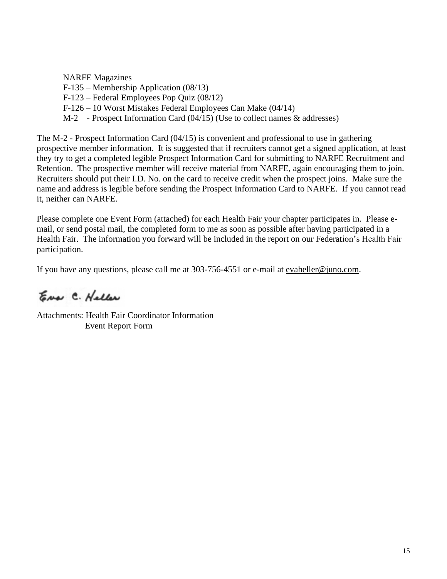NARFE Magazines F-135 – Membership Application (08/13)

- F-123 Federal Employees Pop Quiz (08/12)
- F-126 10 Worst Mistakes Federal Employees Can Make (04/14)
- M-2 Prospect Information Card (04/15) (Use to collect names & addresses)

The M-2 - Prospect Information Card (04/15) is convenient and professional to use in gathering prospective member information. It is suggested that if recruiters cannot get a signed application, at least they try to get a completed legible Prospect Information Card for submitting to NARFE Recruitment and Retention. The prospective member will receive material from NARFE, again encouraging them to join. Recruiters should put their I.D. No. on the card to receive credit when the prospect joins. Make sure the name and address is legible before sending the Prospect Information Card to NARFE. If you cannot read it, neither can NARFE.

Please complete one Event Form (attached) for each Health Fair your chapter participates in. Please email, or send postal mail, the completed form to me as soon as possible after having participated in a Health Fair. The information you forward will be included in the report on our Federation's Health Fair participation.

If you have any questions, please call me at 303-756-4551 or e-mail at [evaheller@juno.com.](mailto:evaheller@juno.com)

Eno C. Haller

Attachments: Health Fair Coordinator Information Event Report Form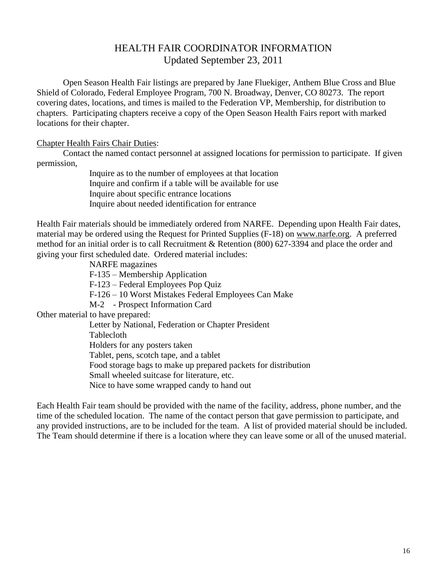## HEALTH FAIR COORDINATOR INFORMATION Updated September 23, 2011

Open Season Health Fair listings are prepared by Jane Fluekiger, Anthem Blue Cross and Blue Shield of Colorado, Federal Employee Program, 700 N. Broadway, Denver, CO 80273. The report covering dates, locations, and times is mailed to the Federation VP, Membership, for distribution to chapters. Participating chapters receive a copy of the Open Season Health Fairs report with marked locations for their chapter.

#### Chapter Health Fairs Chair Duties:

Contact the named contact personnel at assigned locations for permission to participate. If given permission,

> Inquire as to the number of employees at that location Inquire and confirm if a table will be available for use Inquire about specific entrance locations Inquire about needed identification for entrance

Health Fair materials should be immediately ordered from NARFE. Depending upon Health Fair dates, material may be ordered using the Request for Printed Supplies (F-18) on [www.narfe.org.](http://www.narfe.org/) A preferred method for an initial order is to call Recruitment & Retention (800) 627-3394 and place the order and giving your first scheduled date. Ordered material includes:

NARFE magazines

F-135 – Membership Application

F-123 – Federal Employees Pop Quiz

F-126 – 10 Worst Mistakes Federal Employees Can Make

M-2 - Prospect Information Card

Other material to have prepared:

Letter by National, Federation or Chapter President Tablecloth Holders for any posters taken Tablet, pens, scotch tape, and a tablet Food storage bags to make up prepared packets for distribution Small wheeled suitcase for literature, etc. Nice to have some wrapped candy to hand out

Each Health Fair team should be provided with the name of the facility, address, phone number, and the time of the scheduled location. The name of the contact person that gave permission to participate, and any provided instructions, are to be included for the team. A list of provided material should be included. The Team should determine if there is a location where they can leave some or all of the unused material.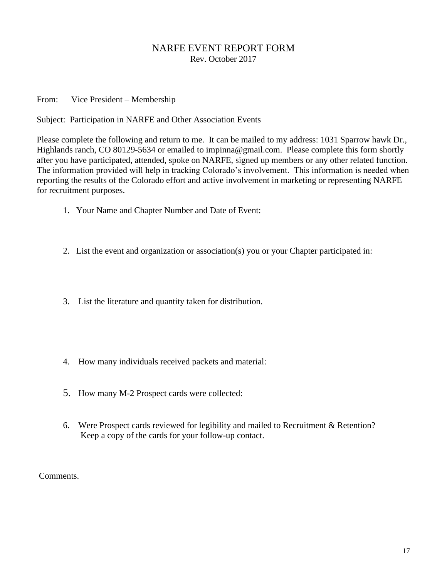## NARFE EVENT REPORT FORM Rev. October 2017

From: Vice President – Membership

Subject: Participation in NARFE and Other Association Events

Please complete the following and return to me. It can be mailed to my address: 1031 Sparrow hawk Dr., Highlands ranch, CO 80129-5634 or emailed to impinna@gmail.com. Please complete this form shortly after you have participated, attended, spoke on NARFE, signed up members or any other related function. The information provided will help in tracking Colorado's involvement. This information is needed when reporting the results of the Colorado effort and active involvement in marketing or representing NARFE for recruitment purposes.

- 1. Your Name and Chapter Number and Date of Event:
- 2. List the event and organization or association(s) you or your Chapter participated in:
- 3. List the literature and quantity taken for distribution.
- 4. How many individuals received packets and material:
- 5. How many M-2 Prospect cards were collected:
- 6. Were Prospect cards reviewed for legibility and mailed to Recruitment & Retention? Keep a copy of the cards for your follow-up contact.

Comments.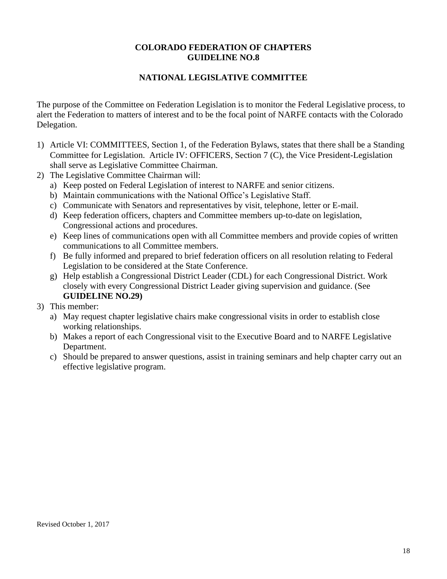## **NATIONAL LEGISLATIVE COMMITTEE**

The purpose of the Committee on Federation Legislation is to monitor the Federal Legislative process, to alert the Federation to matters of interest and to be the focal point of NARFE contacts with the Colorado Delegation.

- 1) Article VI: COMMITTEES, Section 1, of the Federation Bylaws, states that there shall be a Standing Committee for Legislation. Article IV: OFFICERS, Section 7 (C), the Vice President-Legislation shall serve as Legislative Committee Chairman.
- 2) The Legislative Committee Chairman will:
	- a) Keep posted on Federal Legislation of interest to NARFE and senior citizens.
	- b) Maintain communications with the National Office's Legislative Staff.
	- c) Communicate with Senators and representatives by visit, telephone, letter or E-mail.
	- d) Keep federation officers, chapters and Committee members up-to-date on legislation, Congressional actions and procedures.
	- e) Keep lines of communications open with all Committee members and provide copies of written communications to all Committee members.
	- f) Be fully informed and prepared to brief federation officers on all resolution relating to Federal Legislation to be considered at the State Conference.
	- g) Help establish a Congressional District Leader (CDL) for each Congressional District. Work closely with every Congressional District Leader giving supervision and guidance. (See **GUIDELINE NO.29)**
- 3) This member:
	- a) May request chapter legislative chairs make congressional visits in order to establish close working relationships.
	- b) Makes a report of each Congressional visit to the Executive Board and to NARFE Legislative Department.
	- c) Should be prepared to answer questions, assist in training seminars and help chapter carry out an effective legislative program.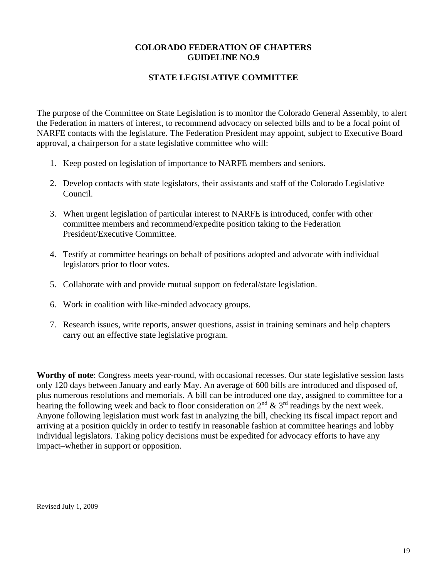## **STATE LEGISLATIVE COMMITTEE**

The purpose of the Committee on State Legislation is to monitor the Colorado General Assembly, to alert the Federation in matters of interest, to recommend advocacy on selected bills and to be a focal point of NARFE contacts with the legislature. The Federation President may appoint, subject to Executive Board approval, a chairperson for a state legislative committee who will:

- 1. Keep posted on legislation of importance to NARFE members and seniors.
- 2. Develop contacts with state legislators, their assistants and staff of the Colorado Legislative Council.
- 3. When urgent legislation of particular interest to NARFE is introduced, confer with other committee members and recommend/expedite position taking to the Federation President/Executive Committee.
- 4. Testify at committee hearings on behalf of positions adopted and advocate with individual legislators prior to floor votes.
- 5. Collaborate with and provide mutual support on federal/state legislation.
- 6. Work in coalition with like-minded advocacy groups.
- 7. Research issues, write reports, answer questions, assist in training seminars and help chapters carry out an effective state legislative program.

**Worthy of note**: Congress meets year-round, with occasional recesses. Our state legislative session lasts only 120 days between January and early May. An average of 600 bills are introduced and disposed of, plus numerous resolutions and memorials. A bill can be introduced one day, assigned to committee for a hearing the following week and back to floor consideration on  $2<sup>nd</sup>$  &  $3<sup>rd</sup>$  readings by the next week. Anyone following legislation must work fast in analyzing the bill, checking its fiscal impact report and arriving at a position quickly in order to testify in reasonable fashion at committee hearings and lobby individual legislators. Taking policy decisions must be expedited for advocacy efforts to have any impact–whether in support or opposition.

Revised July 1, 2009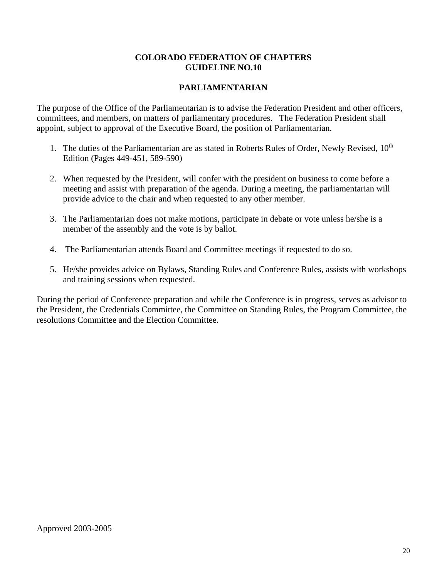## **PARLIAMENTARIAN**

The purpose of the Office of the Parliamentarian is to advise the Federation President and other officers, committees, and members, on matters of parliamentary procedures. The Federation President shall appoint, subject to approval of the Executive Board, the position of Parliamentarian.

- 1. The duties of the Parliamentarian are as stated in Roberts Rules of Order, Newly Revised, 10<sup>th</sup> Edition (Pages 449-451, 589-590)
- 2. When requested by the President, will confer with the president on business to come before a meeting and assist with preparation of the agenda. During a meeting, the parliamentarian will provide advice to the chair and when requested to any other member.
- 3. The Parliamentarian does not make motions, participate in debate or vote unless he/she is a member of the assembly and the vote is by ballot.
- 4. The Parliamentarian attends Board and Committee meetings if requested to do so.
- 5. He/she provides advice on Bylaws, Standing Rules and Conference Rules, assists with workshops and training sessions when requested.

During the period of Conference preparation and while the Conference is in progress, serves as advisor to the President, the Credentials Committee, the Committee on Standing Rules, the Program Committee, the resolutions Committee and the Election Committee.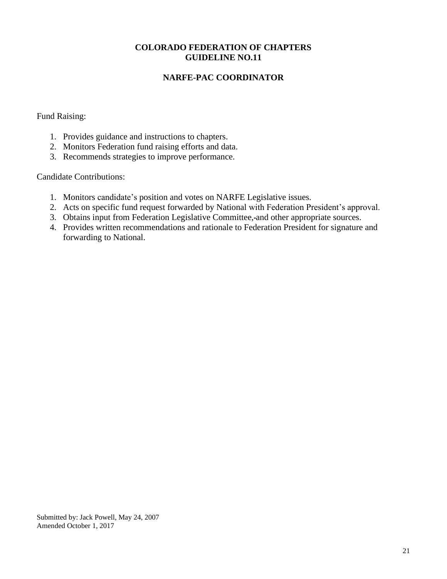## **NARFE-PAC COORDINATOR**

## Fund Raising:

- 1. Provides guidance and instructions to chapters.
- 2. Monitors Federation fund raising efforts and data.
- 3. Recommends strategies to improve performance.

## Candidate Contributions:

- 1. Monitors candidate's position and votes on NARFE Legislative issues.
- 2. Acts on specific fund request forwarded by National with Federation President's approval.
- 3. Obtains input from Federation Legislative Committee, and other appropriate sources.
- 4. Provides written recommendations and rationale to Federation President for signature and forwarding to National.

Submitted by: Jack Powell, May 24, 2007 Amended October 1, 2017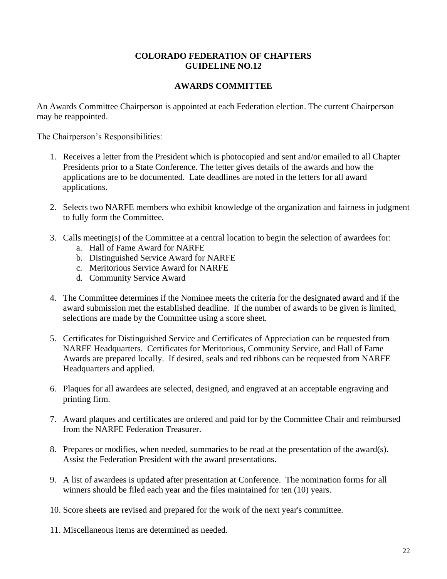## **AWARDS COMMITTEE**

An Awards Committee Chairperson is appointed at each Federation election. The current Chairperson may be reappointed.

The Chairperson's Responsibilities:

- 1. Receives a letter from the President which is photocopied and sent and/or emailed to all Chapter Presidents prior to a State Conference. The letter gives details of the awards and how the applications are to be documented. Late deadlines are noted in the letters for all award applications.
- 2. Selects two NARFE members who exhibit knowledge of the organization and fairness in judgment to fully form the Committee.
- 3. Calls meeting(s) of the Committee at a central location to begin the selection of awardees for:
	- a. Hall of Fame Award for NARFE
	- b. Distinguished Service Award for NARFE
	- c. Meritorious Service Award for NARFE
	- d. Community Service Award
- 4. The Committee determines if the Nominee meets the criteria for the designated award and if the award submission met the established deadline. If the number of awards to be given is limited, selections are made by the Committee using a score sheet.
- 5. Certificates for Distinguished Service and Certificates of Appreciation can be requested from NARFE Headquarters. Certificates for Meritorious, Community Service, and Hall of Fame Awards are prepared locally. If desired, seals and red ribbons can be requested from NARFE Headquarters and applied.
- 6. Plaques for all awardees are selected, designed, and engraved at an acceptable engraving and printing firm.
- 7. Award plaques and certificates are ordered and paid for by the Committee Chair and reimbursed from the NARFE Federation Treasurer.
- 8. Prepares or modifies, when needed, summaries to be read at the presentation of the award(s). Assist the Federation President with the award presentations.
- 9. A list of awardees is updated after presentation at Conference. The nomination forms for all winners should be filed each year and the files maintained for ten (10) years.
- 10. Score sheets are revised and prepared for the work of the next year's committee.
- 11. Miscellaneous items are determined as needed.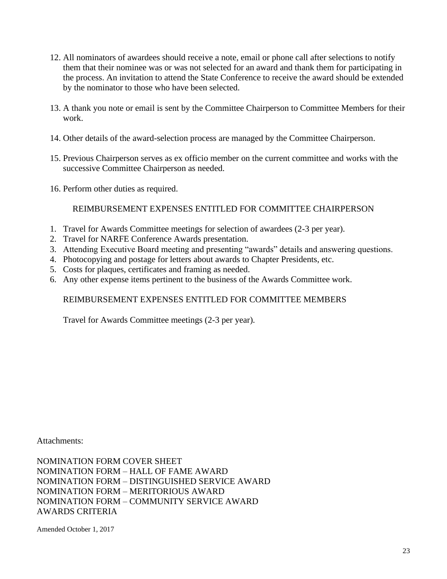- 12. All nominators of awardees should receive a note, email or phone call after selections to notify them that their nominee was or was not selected for an award and thank them for participating in the process. An invitation to attend the State Conference to receive the award should be extended by the nominator to those who have been selected.
- 13. A thank you note or email is sent by the Committee Chairperson to Committee Members for their work.
- 14. Other details of the award-selection process are managed by the Committee Chairperson.
- 15. Previous Chairperson serves as ex officio member on the current committee and works with the successive Committee Chairperson as needed.
- 16. Perform other duties as required.

## REIMBURSEMENT EXPENSES ENTITLED FOR COMMITTEE CHAIRPERSON

- 1. Travel for Awards Committee meetings for selection of awardees (2-3 per year).
- 2. Travel for NARFE Conference Awards presentation.
- 3. Attending Executive Board meeting and presenting "awards" details and answering questions.
- 4. Photocopying and postage for letters about awards to Chapter Presidents, etc.
- 5. Costs for plaques, certificates and framing as needed.
- 6. Any other expense items pertinent to the business of the Awards Committee work.

## REIMBURSEMENT EXPENSES ENTITLED FOR COMMITTEE MEMBERS

Travel for Awards Committee meetings (2-3 per year).

Attachments:

NOMINATION FORM COVER SHEET NOMINATION FORM – HALL OF FAME AWARD NOMINATION FORM – DISTINGUISHED SERVICE AWARD NOMINATION FORM – MERITORIOUS AWARD NOMINATION FORM – COMMUNITY SERVICE AWARD AWARDS CRITERIA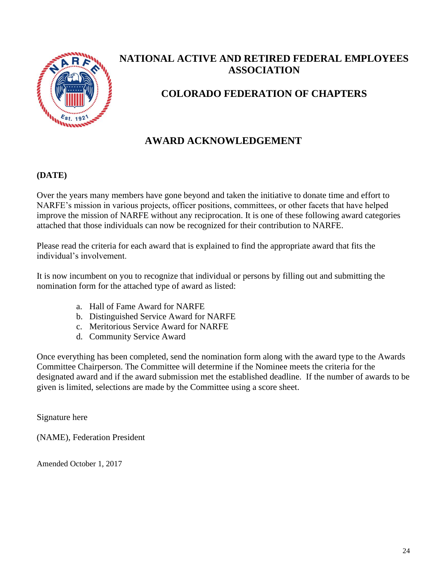

## **NATIONAL ACTIVE AND RETIRED FEDERAL EMPLOYEES ASSOCIATION**

## **COLORADO FEDERATION OF CHAPTERS**

## **AWARD ACKNOWLEDGEMENT**

## **(DATE)**

Over the years many members have gone beyond and taken the initiative to donate time and effort to NARFE's mission in various projects, officer positions, committees, or other facets that have helped improve the mission of NARFE without any reciprocation. It is one of these following award categories attached that those individuals can now be recognized for their contribution to NARFE.

Please read the criteria for each award that is explained to find the appropriate award that fits the individual's involvement.

It is now incumbent on you to recognize that individual or persons by filling out and submitting the nomination form for the attached type of award as listed:

- a. Hall of Fame Award for NARFE
- b. Distinguished Service Award for NARFE
- c. Meritorious Service Award for NARFE
- d. Community Service Award

Once everything has been completed, send the nomination form along with the award type to the Awards Committee Chairperson. The Committee will determine if the Nominee meets the criteria for the designated award and if the award submission met the established deadline. If the number of awards to be given is limited, selections are made by the Committee using a score sheet.

Signature here

(NAME), Federation President

Amended October 1, 2017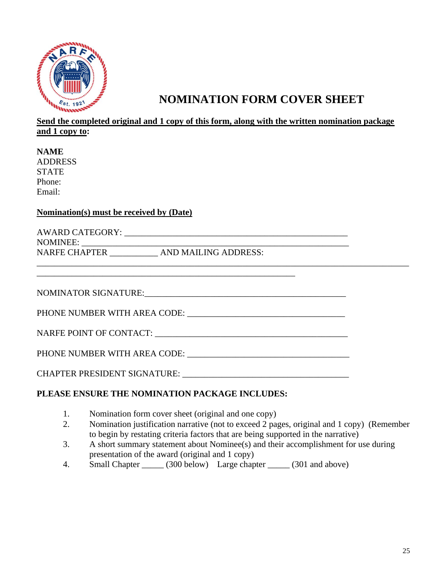

## **NOMINATION FORM COVER SHEET**

## **Send the completed original and 1 copy of this form, along with the written nomination package and 1 copy to:**

**NAME**  ADDRESS STATE Phone: Email:

## **Nomination(s) must be received by (Date)**

| <b>AWARD CATEGORY:</b> |                      |  |
|------------------------|----------------------|--|
| <b>NOMINEE:</b>        |                      |  |
| <b>NARFE CHAPTER</b>   | AND MAILING ADDRESS: |  |
|                        |                      |  |

\_\_\_\_\_\_\_\_\_\_\_\_\_\_\_\_\_\_\_\_\_\_\_\_\_\_\_\_\_\_\_\_\_\_\_\_\_\_\_\_\_\_\_\_\_\_\_\_\_\_\_\_\_\_\_\_\_\_\_

NOMINATOR SIGNATURE:

PHONE NUMBER WITH AREA CODE: \_\_\_\_\_\_\_\_\_\_\_\_\_\_\_\_\_\_\_\_\_\_\_\_\_\_\_\_\_\_\_\_\_\_\_\_

## NARFE POINT OF CONTACT:  $\qquad \qquad \blacksquare$

PHONE NUMBER WITH AREA CODE: \_\_\_\_\_\_\_\_\_\_\_\_\_\_\_\_\_\_\_\_\_\_\_\_\_\_\_\_\_\_\_\_\_\_\_\_\_

CHAPTER PRESIDENT SIGNATURE: \_\_\_\_\_\_\_\_\_\_\_\_\_\_\_\_\_\_\_\_\_\_\_\_\_\_\_\_\_\_\_\_\_\_\_\_\_\_

## **PLEASE ENSURE THE NOMINATION PACKAGE INCLUDES:**

- 1. Nomination form cover sheet (original and one copy)
- 2. Nomination justification narrative (not to exceed 2 pages, original and 1 copy) (Remember to begin by restating criteria factors that are being supported in the narrative)
- 3. A short summary statement about Nominee(s) and their accomplishment for use during presentation of the award (original and 1 copy)
- 4. Small Chapter \_\_\_\_\_\_ (300 below) Large chapter \_\_\_\_\_ (301 and above)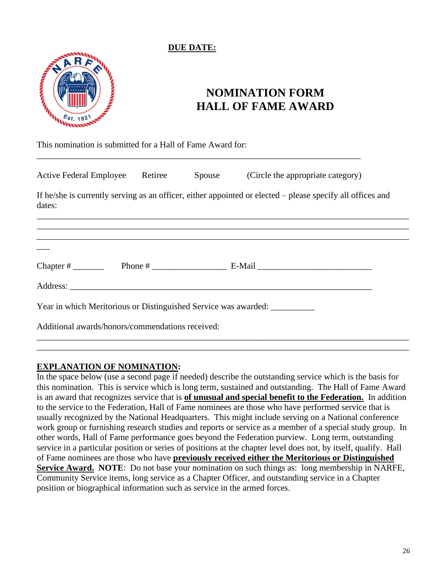## **DUE DATE:**



 $\overline{\phantom{a}}$ 

## **NOMINATION FORM HALL OF FAME AWARD**

This nomination is submitted for a Hall of Fame Award for:

| <b>Active Federal Employee</b> | Retiree | Spouse | (Circle the appropriate category) |
|--------------------------------|---------|--------|-----------------------------------|
|                                |         |        |                                   |

\_\_\_\_\_\_\_\_\_\_\_\_\_\_\_\_\_\_\_\_\_\_\_\_\_\_\_\_\_\_\_\_\_\_\_\_\_\_\_\_\_\_\_\_\_\_\_\_\_\_\_\_\_\_\_\_\_\_\_\_\_\_\_\_\_\_\_\_\_\_\_\_\_\_

If he/she is currently serving as an officer, either appointed or elected – please specify all offices and dates:

\_\_\_\_\_\_\_\_\_\_\_\_\_\_\_\_\_\_\_\_\_\_\_\_\_\_\_\_\_\_\_\_\_\_\_\_\_\_\_\_\_\_\_\_\_\_\_\_\_\_\_\_\_\_\_\_\_\_\_\_\_\_\_\_\_\_\_\_\_\_\_\_\_\_\_\_\_\_\_\_\_\_\_\_\_ \_\_\_\_\_\_\_\_\_\_\_\_\_\_\_\_\_\_\_\_\_\_\_\_\_\_\_\_\_\_\_\_\_\_\_\_\_\_\_\_\_\_\_\_\_\_\_\_\_\_\_\_\_\_\_\_\_\_\_\_\_\_\_\_\_\_\_\_\_\_\_\_\_\_\_\_\_\_\_\_\_\_\_\_\_ \_\_\_\_\_\_\_\_\_\_\_\_\_\_\_\_\_\_\_\_\_\_\_\_\_\_\_\_\_\_\_\_\_\_\_\_\_\_\_\_\_\_\_\_\_\_\_\_\_\_\_\_\_\_\_\_\_\_\_\_\_\_\_\_\_\_\_\_\_\_\_\_\_\_\_\_\_\_\_\_\_\_\_\_\_

| $\sim$<br>ни<br>.<br>ິ<br>__ | – |  |
|------------------------------|---|--|
|                              |   |  |

Year in which Meritorious or Distinguished Service was awarded:

Address:

Additional awards/honors/commendations received:

## **EXPLANATION OF NOMINATION:**

In the space below (use a second page if needed) describe the outstanding service which is the basis for this nomination. This is service which is long term, sustained and outstanding. The Hall of Fame Award is an award that recognizes service that is **of unusual and special benefit to the Federation.** In addition to the service to the Federation, Hall of Fame nominees are those who have performed service that is usually recognized by the National Headquarters. This might include serving on a National conference work group or furnishing research studies and reports or service as a member of a special study group. In other words, Hall of Fame performance goes beyond the Federation purview. Long term, outstanding service in a particular position or series of positions at the chapter level does not, by itself, qualify. Hall of Fame nominees are those who have **previously received either the Meritorious or Distinguished Service Award. NOTE:** Do not base your nomination on such things as: long membership in NARFE, Community Service items, long service as a Chapter Officer, and outstanding service in a Chapter position or biographical information such as service in the armed forces.

\_\_\_\_\_\_\_\_\_\_\_\_\_\_\_\_\_\_\_\_\_\_\_\_\_\_\_\_\_\_\_\_\_\_\_\_\_\_\_\_\_\_\_\_\_\_\_\_\_\_\_\_\_\_\_\_\_\_\_\_\_\_\_\_\_\_\_\_\_\_\_\_\_\_\_\_\_\_\_\_\_\_\_\_\_ \_\_\_\_\_\_\_\_\_\_\_\_\_\_\_\_\_\_\_\_\_\_\_\_\_\_\_\_\_\_\_\_\_\_\_\_\_\_\_\_\_\_\_\_\_\_\_\_\_\_\_\_\_\_\_\_\_\_\_\_\_\_\_\_\_\_\_\_\_\_\_\_\_\_\_\_\_\_\_\_\_\_\_\_\_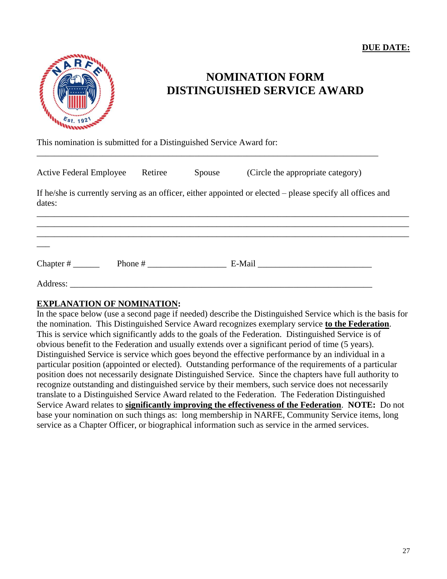

## **NOMINATION FORM DISTINGUISHED SERVICE AWARD**

This nomination is submitted for a Distinguished Service Award for:

| <b>Active Federal Employee</b> | Retiree   | Spouse | (Circle the appropriate category)                                                                          |
|--------------------------------|-----------|--------|------------------------------------------------------------------------------------------------------------|
| dates:                         |           |        | If he/she is currently serving as an officer, either appointed or elected – please specify all offices and |
|                                |           |        |                                                                                                            |
|                                |           |        |                                                                                                            |
|                                | Phone $#$ |        |                                                                                                            |
| Address:                       |           |        |                                                                                                            |

\_\_\_\_\_\_\_\_\_\_\_\_\_\_\_\_\_\_\_\_\_\_\_\_\_\_\_\_\_\_\_\_\_\_\_\_\_\_\_\_\_\_\_\_\_\_\_\_\_\_\_\_\_\_\_\_\_\_\_\_\_\_\_\_\_\_\_\_\_\_\_\_\_\_\_\_\_\_

## **EXPLANATION OF NOMINATION:**

In the space below (use a second page if needed) describe the Distinguished Service which is the basis for the nomination. This Distinguished Service Award recognizes exemplary service **to the Federation**. This is service which significantly adds to the goals of the Federation. Distinguished Service is of obvious benefit to the Federation and usually extends over a significant period of time (5 years). Distinguished Service is service which goes beyond the effective performance by an individual in a particular position (appointed or elected). Outstanding performance of the requirements of a particular position does not necessarily designate Distinguished Service. Since the chapters have full authority to recognize outstanding and distinguished service by their members, such service does not necessarily translate to a Distinguished Service Award related to the Federation. The Federation Distinguished Service Award relates to **significantly improving the effectiveness of the Federation**. **NOTE:** Do not base your nomination on such things as: long membership in NARFE, Community Service items, long service as a Chapter Officer, or biographical information such as service in the armed services.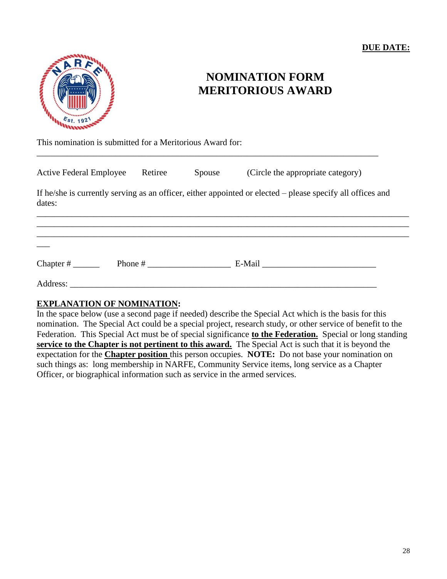## **DUE DATE:**



## **NOMINATION FORM MERITORIOUS AWARD**

This nomination is submitted for a Meritorious Award for:

| <b>Active Federal Employee</b> | Retiree | Spouse | (Circle the appropriate category)                                                                          |
|--------------------------------|---------|--------|------------------------------------------------------------------------------------------------------------|
| dates:                         |         |        | If he/she is currently serving as an officer, either appointed or elected – please specify all offices and |
|                                |         |        |                                                                                                            |
|                                |         |        |                                                                                                            |
|                                |         |        |                                                                                                            |
| Address:                       |         |        |                                                                                                            |

\_\_\_\_\_\_\_\_\_\_\_\_\_\_\_\_\_\_\_\_\_\_\_\_\_\_\_\_\_\_\_\_\_\_\_\_\_\_\_\_\_\_\_\_\_\_\_\_\_\_\_\_\_\_\_\_\_\_\_\_\_\_\_\_\_\_\_\_\_\_\_\_\_\_\_\_\_\_

## **EXPLANATION OF NOMINATION:**

In the space below (use a second page if needed) describe the Special Act which is the basis for this nomination. The Special Act could be a special project, research study, or other service of benefit to the Federation. This Special Act must be of special significance **to the Federation.** Special or long standing **service to the Chapter is not pertinent to this award.** The Special Act is such that it is beyond the expectation for the **Chapter position** this person occupies. **NOTE:** Do not base your nomination on such things as: long membership in NARFE, Community Service items, long service as a Chapter Officer, or biographical information such as service in the armed services.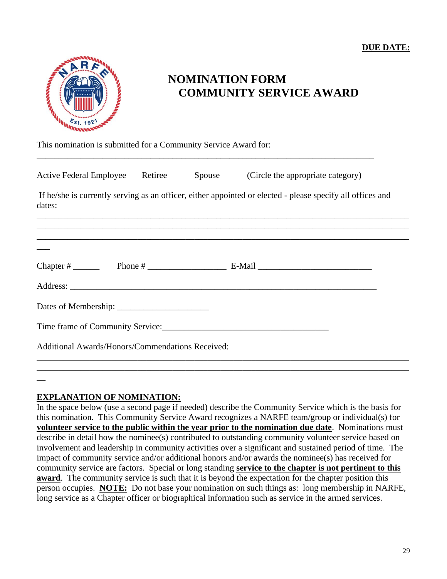**DUE DATE:** 



## **NOMINATION FORM COMMUNITY SERVICE AWARD**

This nomination is submitted for a Community Service Award for:

| Active Federal Employee Retiree                  |  |  | Spouse (Circle the appropriate category)                                                                   |  |  |
|--------------------------------------------------|--|--|------------------------------------------------------------------------------------------------------------|--|--|
| dates:                                           |  |  | If he/she is currently serving as an officer, either appointed or elected - please specify all offices and |  |  |
|                                                  |  |  |                                                                                                            |  |  |
|                                                  |  |  |                                                                                                            |  |  |
|                                                  |  |  |                                                                                                            |  |  |
|                                                  |  |  |                                                                                                            |  |  |
|                                                  |  |  |                                                                                                            |  |  |
| Additional Awards/Honors/Commendations Received: |  |  |                                                                                                            |  |  |
|                                                  |  |  |                                                                                                            |  |  |

\_\_\_\_\_\_\_\_\_\_\_\_\_\_\_\_\_\_\_\_\_\_\_\_\_\_\_\_\_\_\_\_\_\_\_\_\_\_\_\_\_\_\_\_\_\_\_\_\_\_\_\_\_\_\_\_\_\_\_\_\_\_\_\_\_\_\_\_\_\_\_\_\_\_\_\_\_

## **EXPLANATION OF NOMINATION:**

 $\overline{\phantom{a}}$ 

In the space below (use a second page if needed) describe the Community Service which is the basis for this nomination. This Community Service Award recognizes a NARFE team/group or individual(s) for **volunteer service to the public within the year prior to the nomination due date**. Nominations must describe in detail how the nominee(s) contributed to outstanding community volunteer service based on involvement and leadership in community activities over a significant and sustained period of time. The impact of community service and/or additional honors and/or awards the nominee(s) has received for community service are factors. Special or long standing **service to the chapter is not pertinent to this award**. The community service is such that it is beyond the expectation for the chapter position this person occupies. **NOTE:** Do not base your nomination on such things as: long membership in NARFE, long service as a Chapter officer or biographical information such as service in the armed services.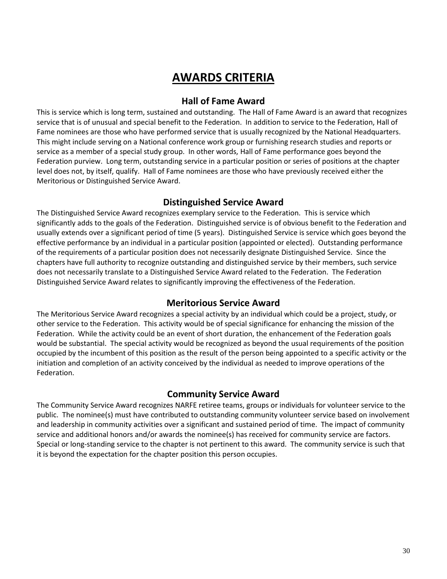## **AWARDS CRITERIA**

## **Hall of Fame Award**

This is service which is long term, sustained and outstanding. The Hall of Fame Award is an award that recognizes service that is of unusual and special benefit to the Federation. In addition to service to the Federation, Hall of Fame nominees are those who have performed service that is usually recognized by the National Headquarters. This might include serving on a National conference work group or furnishing research studies and reports or service as a member of a special study group. In other words, Hall of Fame performance goes beyond the Federation purview. Long term, outstanding service in a particular position or series of positions at the chapter level does not, by itself, qualify. Hall of Fame nominees are those who have previously received either the Meritorious or Distinguished Service Award.

## **Distinguished Service Award**

The Distinguished Service Award recognizes exemplary service to the Federation. This is service which significantly adds to the goals of the Federation. Distinguished service is of obvious benefit to the Federation and usually extends over a significant period of time (5 years). Distinguished Service is service which goes beyond the effective performance by an individual in a particular position (appointed or elected). Outstanding performance of the requirements of a particular position does not necessarily designate Distinguished Service. Since the chapters have full authority to recognize outstanding and distinguished service by their members, such service does not necessarily translate to a Distinguished Service Award related to the Federation. The Federation Distinguished Service Award relates to significantly improving the effectiveness of the Federation.

## **Meritorious Service Award**

The Meritorious Service Award recognizes a special activity by an individual which could be a project, study, or other service to the Federation. This activity would be of special significance for enhancing the mission of the Federation. While the activity could be an event of short duration, the enhancement of the Federation goals would be substantial. The special activity would be recognized as beyond the usual requirements of the position occupied by the incumbent of this position as the result of the person being appointed to a specific activity or the initiation and completion of an activity conceived by the individual as needed to improve operations of the Federation.

#### **Community Service Award**

The Community Service Award recognizes NARFE retiree teams, groups or individuals for volunteer service to the public. The nominee(s) must have contributed to outstanding community volunteer service based on involvement and leadership in community activities over a significant and sustained period of time. The impact of community service and additional honors and/or awards the nominee(s) has received for community service are factors. Special or long-standing service to the chapter is not pertinent to this award. The community service is such that it is beyond the expectation for the chapter position this person occupies.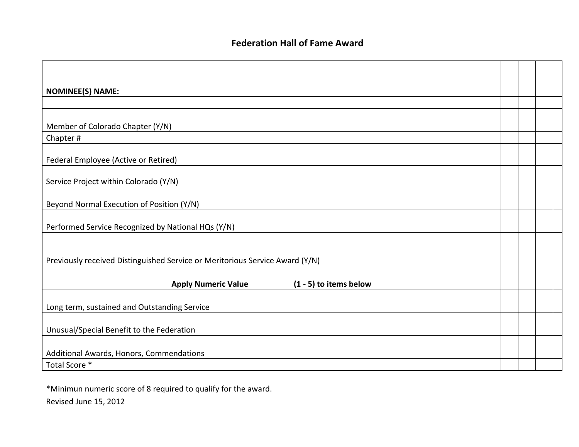| <b>NOMINEE(S) NAME:</b>                                                      |  |  |
|------------------------------------------------------------------------------|--|--|
|                                                                              |  |  |
|                                                                              |  |  |
| Member of Colorado Chapter (Y/N)                                             |  |  |
| Chapter#                                                                     |  |  |
| Federal Employee (Active or Retired)                                         |  |  |
| Service Project within Colorado (Y/N)                                        |  |  |
| Beyond Normal Execution of Position (Y/N)                                    |  |  |
| Performed Service Recognized by National HQs (Y/N)                           |  |  |
|                                                                              |  |  |
| Previously received Distinguished Service or Meritorious Service Award (Y/N) |  |  |
| <b>Apply Numeric Value</b><br>$(1 - 5)$ to items below                       |  |  |
| Long term, sustained and Outstanding Service                                 |  |  |
| Unusual/Special Benefit to the Federation                                    |  |  |
| Additional Awards, Honors, Commendations                                     |  |  |
| Total Score *                                                                |  |  |

\*Minimun numeric score of 8 required to qualify for the award. Revised June 15, 2012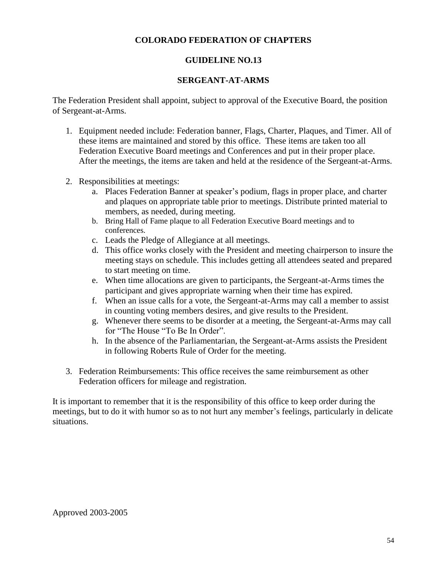## **COLORADO FEDERATION OF CHAPTERS**

## **GUIDELINE NO.13**

## **SERGEANT-AT-ARMS**

The Federation President shall appoint, subject to approval of the Executive Board, the position of Sergeant-at-Arms.

- 1. Equipment needed include: Federation banner, Flags, Charter, Plaques, and Timer. All of these items are maintained and stored by this office. These items are taken too all Federation Executive Board meetings and Conferences and put in their proper place. After the meetings, the items are taken and held at the residence of the Sergeant-at-Arms.
- 2. Responsibilities at meetings:
	- a. Places Federation Banner at speaker's podium, flags in proper place, and charter and plaques on appropriate table prior to meetings. Distribute printed material to members, as needed, during meeting.
	- b. Bring Hall of Fame plaque to all Federation Executive Board meetings and to conferences.
	- c. Leads the Pledge of Allegiance at all meetings.
	- d. This office works closely with the President and meeting chairperson to insure the meeting stays on schedule. This includes getting all attendees seated and prepared to start meeting on time.
	- e. When time allocations are given to participants, the Sergeant-at-Arms times the participant and gives appropriate warning when their time has expired.
	- f. When an issue calls for a vote, the Sergeant-at-Arms may call a member to assist in counting voting members desires, and give results to the President.
	- g. Whenever there seems to be disorder at a meeting, the Sergeant-at-Arms may call for "The House "To Be In Order".
	- h. In the absence of the Parliamentarian, the Sergeant-at-Arms assists the President in following Roberts Rule of Order for the meeting.
- 3. Federation Reimbursements: This office receives the same reimbursement as other Federation officers for mileage and registration.

It is important to remember that it is the responsibility of this office to keep order during the meetings, but to do it with humor so as to not hurt any member's feelings, particularly in delicate situations.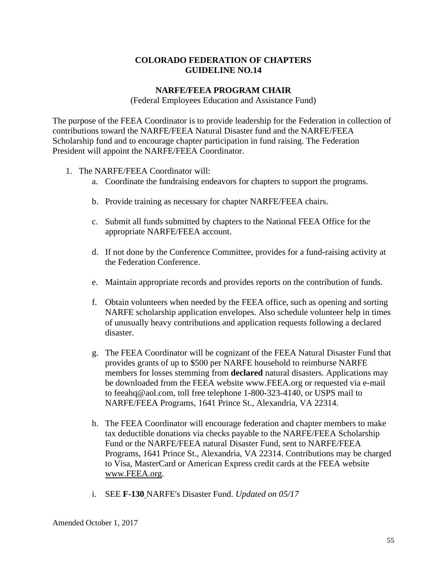## **NARFE/FEEA PROGRAM CHAIR**

(Federal Employees Education and Assistance Fund)

The purpose of the FEEA Coordinator is to provide leadership for the Federation in collection of contributions toward the NARFE/FEEA Natural Disaster fund and the NARFE/FEEA Scholarship fund and to encourage chapter participation in fund raising. The Federation President will appoint the NARFE/FEEA Coordinator.

- 1. The NARFE/FEEA Coordinator will:
	- a. Coordinate the fundraising endeavors for chapters to support the programs.
	- b. Provide training as necessary for chapter NARFE/FEEA chairs.
	- c. Submit all funds submitted by chapters to the National FEEA Office for the appropriate NARFE/FEEA account.
	- d. If not done by the Conference Committee, provides for a fund-raising activity at the Federation Conference.
	- e. Maintain appropriate records and provides reports on the contribution of funds.
	- f. Obtain volunteers when needed by the FEEA office, such as opening and sorting NARFE scholarship application envelopes. Also schedule volunteer help in times of unusually heavy contributions and application requests following a declared disaster.
	- g. The FEEA Coordinator will be cognizant of the FEEA Natural Disaster Fund that provides grants of up to \$500 per NARFE household to reimburse NARFE members for losses stemming from **declared** natural disasters. Applications may be downloaded from the FEEA website www.FEEA.org or requested via e-mail to feeahq@aol.com, toll free telephone 1-800-323-4140, or USPS mail to NARFE/FEEA Programs, 1641 Prince St., Alexandria, VA 22314.
	- h. The FEEA Coordinator will encourage federation and chapter members to make tax deductible donations via checks payable to the NARFE/FEEA Scholarship Fund or the NARFE/FEEA natural Disaster Fund, sent to NARFE/FEEA Programs, 1641 Prince St., Alexandria, VA 22314. Contributions may be charged to Visa, MasterCard or American Express credit cards at the FEEA website [www.FEEA.org.](http://www.feea.org/)
	- i. SEE **[F-130](http://www.narfe.org/pdf/f-130.pdf)** NARFE's Disaster Fund. *Updated on 05/17*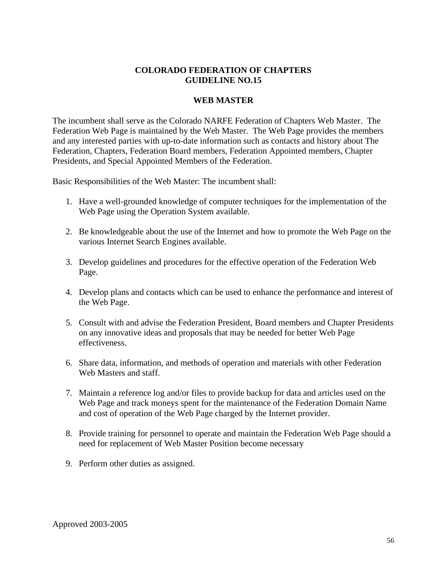### **WEB MASTER**

The incumbent shall serve as the Colorado NARFE Federation of Chapters Web Master. The Federation Web Page is maintained by the Web Master. The Web Page provides the members and any interested parties with up-to-date information such as contacts and history about The Federation, Chapters, Federation Board members, Federation Appointed members, Chapter Presidents, and Special Appointed Members of the Federation.

Basic Responsibilities of the Web Master: The incumbent shall:

- 1. Have a well-grounded knowledge of computer techniques for the implementation of the Web Page using the Operation System available.
- 2. Be knowledgeable about the use of the Internet and how to promote the Web Page on the various Internet Search Engines available.
- 3. Develop guidelines and procedures for the effective operation of the Federation Web Page.
- 4. Develop plans and contacts which can be used to enhance the performance and interest of the Web Page.
- 5. Consult with and advise the Federation President, Board members and Chapter Presidents on any innovative ideas and proposals that may be needed for better Web Page effectiveness.
- 6. Share data, information, and methods of operation and materials with other Federation Web Masters and staff.
- 7. Maintain a reference log and/or files to provide backup for data and articles used on the Web Page and track moneys spent for the maintenance of the Federation Domain Name and cost of operation of the Web Page charged by the Internet provider.
- 8. Provide training for personnel to operate and maintain the Federation Web Page should a need for replacement of Web Master Position become necessary
- 9. Perform other duties as assigned.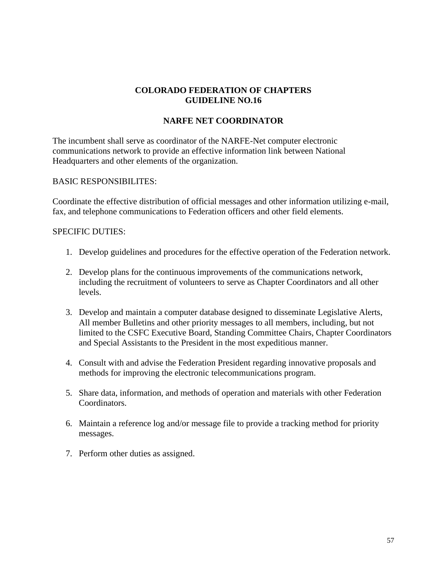## **NARFE NET COORDINATOR**

The incumbent shall serve as coordinator of the NARFE-Net computer electronic communications network to provide an effective information link between National Headquarters and other elements of the organization.

## BASIC RESPONSIBILITES:

Coordinate the effective distribution of official messages and other information utilizing e-mail, fax, and telephone communications to Federation officers and other field elements.

#### SPECIFIC DUTIES:

- 1. Develop guidelines and procedures for the effective operation of the Federation network.
- 2. Develop plans for the continuous improvements of the communications network, including the recruitment of volunteers to serve as Chapter Coordinators and all other levels.
- 3. Develop and maintain a computer database designed to disseminate Legislative Alerts, All member Bulletins and other priority messages to all members, including, but not limited to the CSFC Executive Board, Standing Committee Chairs, Chapter Coordinators and Special Assistants to the President in the most expeditious manner.
- 4. Consult with and advise the Federation President regarding innovative proposals and methods for improving the electronic telecommunications program.
- 5. Share data, information, and methods of operation and materials with other Federation Coordinators.
- 6. Maintain a reference log and/or message file to provide a tracking method for priority messages.
- 7. Perform other duties as assigned.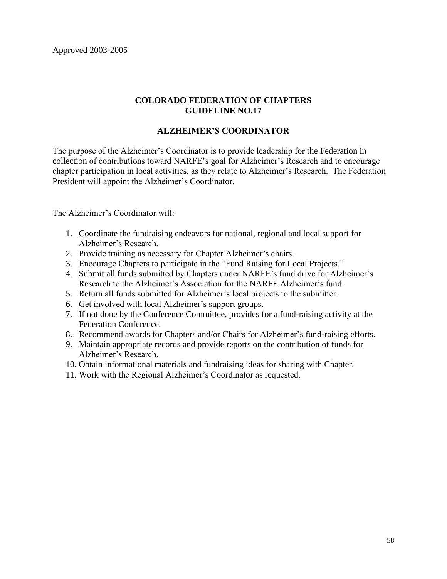Approved 2003-2005

## **COLORADO FEDERATION OF CHAPTERS GUIDELINE NO.17**

## **ALZHEIMER'S COORDINATOR**

The purpose of the Alzheimer's Coordinator is to provide leadership for the Federation in collection of contributions toward NARFE's goal for Alzheimer's Research and to encourage chapter participation in local activities, as they relate to Alzheimer's Research. The Federation President will appoint the Alzheimer's Coordinator.

The Alzheimer's Coordinator will:

- 1. Coordinate the fundraising endeavors for national, regional and local support for Alzheimer's Research.
- 2. Provide training as necessary for Chapter Alzheimer's chairs.
- 3. Encourage Chapters to participate in the "Fund Raising for Local Projects."
- 4. Submit all funds submitted by Chapters under NARFE's fund drive for Alzheimer's Research to the Alzheimer's Association for the NARFE Alzheimer's fund.
- 5. Return all funds submitted for Alzheimer's local projects to the submitter.
- 6. Get involved with local Alzheimer's support groups.
- 7. If not done by the Conference Committee, provides for a fund-raising activity at the Federation Conference.
- 8. Recommend awards for Chapters and/or Chairs for Alzheimer's fund-raising efforts.
- 9. Maintain appropriate records and provide reports on the contribution of funds for Alzheimer's Research.
- 10. Obtain informational materials and fundraising ideas for sharing with Chapter.
- 11. Work with the Regional Alzheimer's Coordinator as requested.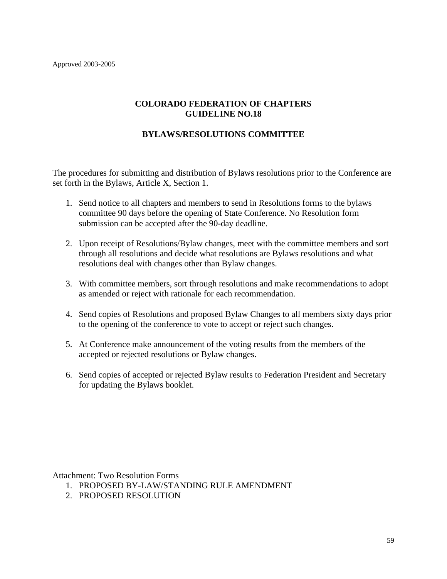## **BYLAWS/RESOLUTIONS COMMITTEE**

The procedures for submitting and distribution of Bylaws resolutions prior to the Conference are set forth in the Bylaws, Article X, Section 1.

- 1. Send notice to all chapters and members to send in Resolutions forms to the bylaws committee 90 days before the opening of State Conference. No Resolution form submission can be accepted after the 90-day deadline.
- 2. Upon receipt of Resolutions/Bylaw changes, meet with the committee members and sort through all resolutions and decide what resolutions are Bylaws resolutions and what resolutions deal with changes other than Bylaw changes.
- 3. With committee members, sort through resolutions and make recommendations to adopt as amended or reject with rationale for each recommendation.
- 4. Send copies of Resolutions and proposed Bylaw Changes to all members sixty days prior to the opening of the conference to vote to accept or reject such changes.
- 5. At Conference make announcement of the voting results from the members of the accepted or rejected resolutions or Bylaw changes.
- 6. Send copies of accepted or rejected Bylaw results to Federation President and Secretary for updating the Bylaws booklet.

Attachment: Two Resolution Forms

- 1. PROPOSED BY-LAW/STANDING RULE AMENDMENT
- 2. PROPOSED RESOLUTION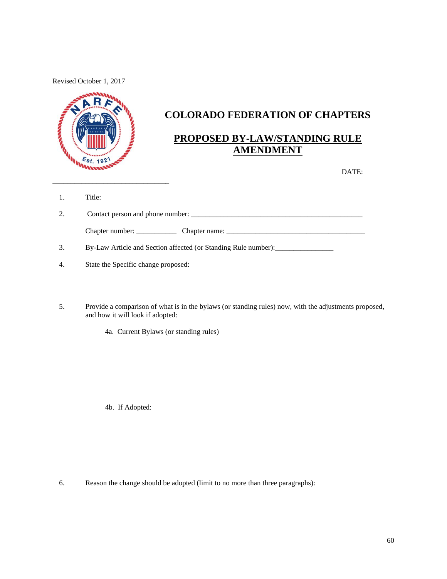Revised October 1, 2017



## **COLORADO FEDERATION OF CHAPTERS**

## **PROPOSED BY-LAW/STANDING RULE AMENDMENT**

DATE:

1. Title:

| 2. | Contact person and phone number: |               |  |
|----|----------------------------------|---------------|--|
|    | Chapter number:                  | Chapter name: |  |

3. By-Law Article and Section affected (or Standing Rule number):

 $\overline{\phantom{a}}$  , and the contract of the contract of the contract of the contract of the contract of the contract of the contract of the contract of the contract of the contract of the contract of the contract of the contrac

- 4. State the Specific change proposed:
- 5. Provide a comparison of what is in the bylaws (or standing rules) now, with the adjustments proposed, and how it will look if adopted:

4a. Current Bylaws (or standing rules)

4b. If Adopted:

6. Reason the change should be adopted (limit to no more than three paragraphs):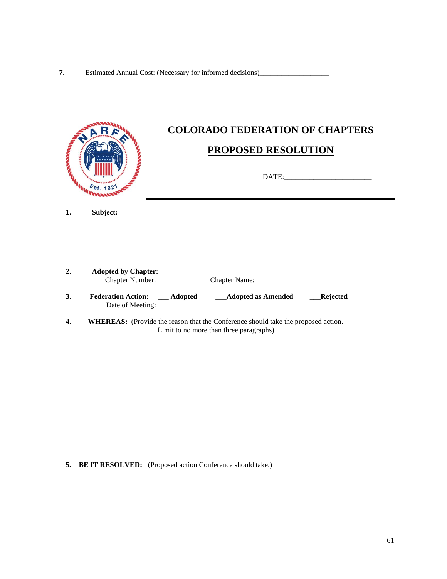|    | $E_{\text{S}t. 192}$           | <b>COLORADO FEDERATION OF CHAPTERS</b><br>PROPOSED RESOLUTION                            |  |
|----|--------------------------------|------------------------------------------------------------------------------------------|--|
| 1. | Subject:                       |                                                                                          |  |
| 2. | <b>Adopted by Chapter:</b>     |                                                                                          |  |
| 3. | Date of Meeting: _____________ | Federation Action: __ Adopted ___ __ Adopted as Amended ______ Rejected                  |  |
| 4. |                                | <b>WHEREAS:</b> (Provide the reason that the Conference should take the proposed action. |  |

Limit to no more than three paragraphs)

**5. BE IT RESOLVED:** (Proposed action Conference should take.)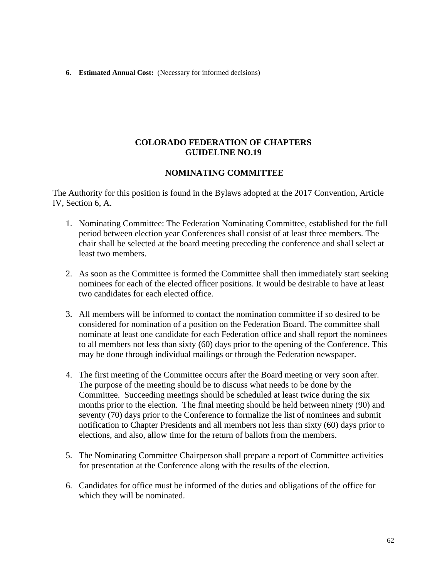#### **6. Estimated Annual Cost:** (Necessary for informed decisions)

### **COLORADO FEDERATION OF CHAPTERS GUIDELINE NO.19**

#### **NOMINATING COMMITTEE**

The Authority for this position is found in the Bylaws adopted at the 2017 Convention, Article IV, Section 6, A.

- 1. Nominating Committee: The Federation Nominating Committee, established for the full period between election year Conferences shall consist of at least three members. The chair shall be selected at the board meeting preceding the conference and shall select at least two members.
- 2. As soon as the Committee is formed the Committee shall then immediately start seeking nominees for each of the elected officer positions. It would be desirable to have at least two candidates for each elected office.
- 3. All members will be informed to contact the nomination committee if so desired to be considered for nomination of a position on the Federation Board. The committee shall nominate at least one candidate for each Federation office and shall report the nominees to all members not less than sixty (60) days prior to the opening of the Conference. This may be done through individual mailings or through the Federation newspaper.
- 4. The first meeting of the Committee occurs after the Board meeting or very soon after. The purpose of the meeting should be to discuss what needs to be done by the Committee. Succeeding meetings should be scheduled at least twice during the six months prior to the election. The final meeting should be held between ninety (90) and seventy (70) days prior to the Conference to formalize the list of nominees and submit notification to Chapter Presidents and all members not less than sixty (60) days prior to elections, and also, allow time for the return of ballots from the members.
- 5. The Nominating Committee Chairperson shall prepare a report of Committee activities for presentation at the Conference along with the results of the election.
- 6. Candidates for office must be informed of the duties and obligations of the office for which they will be nominated.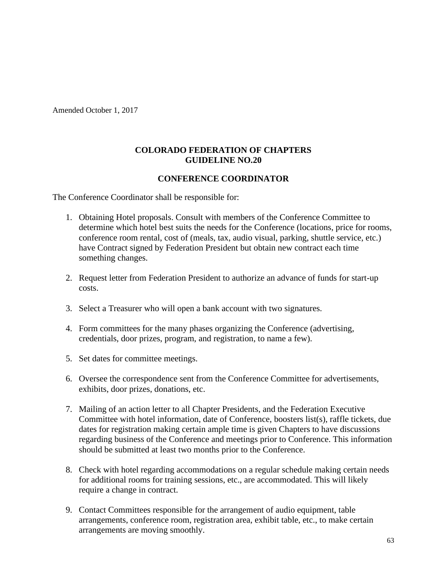Amended October 1, 2017

## **COLORADO FEDERATION OF CHAPTERS GUIDELINE NO.20**

## **CONFERENCE COORDINATOR**

The Conference Coordinator shall be responsible for:

- 1. Obtaining Hotel proposals. Consult with members of the Conference Committee to determine which hotel best suits the needs for the Conference (locations, price for rooms, conference room rental, cost of (meals, tax, audio visual, parking, shuttle service, etc.) have Contract signed by Federation President but obtain new contract each time something changes.
- 2. Request letter from Federation President to authorize an advance of funds for start-up costs.
- 3. Select a Treasurer who will open a bank account with two signatures.
- 4. Form committees for the many phases organizing the Conference (advertising, credentials, door prizes, program, and registration, to name a few).
- 5. Set dates for committee meetings.
- 6. Oversee the correspondence sent from the Conference Committee for advertisements, exhibits, door prizes, donations, etc.
- 7. Mailing of an action letter to all Chapter Presidents, and the Federation Executive Committee with hotel information, date of Conference, boosters list(s), raffle tickets, due dates for registration making certain ample time is given Chapters to have discussions regarding business of the Conference and meetings prior to Conference. This information should be submitted at least two months prior to the Conference.
- 8. Check with hotel regarding accommodations on a regular schedule making certain needs for additional rooms for training sessions, etc., are accommodated. This will likely require a change in contract.
- 9. Contact Committees responsible for the arrangement of audio equipment, table arrangements, conference room, registration area, exhibit table, etc., to make certain arrangements are moving smoothly.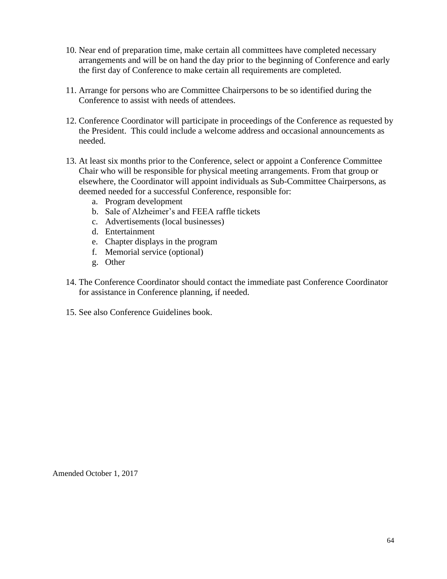- 10. Near end of preparation time, make certain all committees have completed necessary arrangements and will be on hand the day prior to the beginning of Conference and early the first day of Conference to make certain all requirements are completed.
- 11. Arrange for persons who are Committee Chairpersons to be so identified during the Conference to assist with needs of attendees.
- 12. Conference Coordinator will participate in proceedings of the Conference as requested by the President. This could include a welcome address and occasional announcements as needed.
- 13. At least six months prior to the Conference, select or appoint a Conference Committee Chair who will be responsible for physical meeting arrangements. From that group or elsewhere, the Coordinator will appoint individuals as Sub-Committee Chairpersons, as deemed needed for a successful Conference, responsible for:
	- a. Program development
	- b. Sale of Alzheimer's and FEEA raffle tickets
	- c. Advertisements (local businesses)
	- d. Entertainment
	- e. Chapter displays in the program
	- f. Memorial service (optional)
	- g. Other
- 14. The Conference Coordinator should contact the immediate past Conference Coordinator for assistance in Conference planning, if needed.
- 15. See also Conference Guidelines book.

Amended October 1, 2017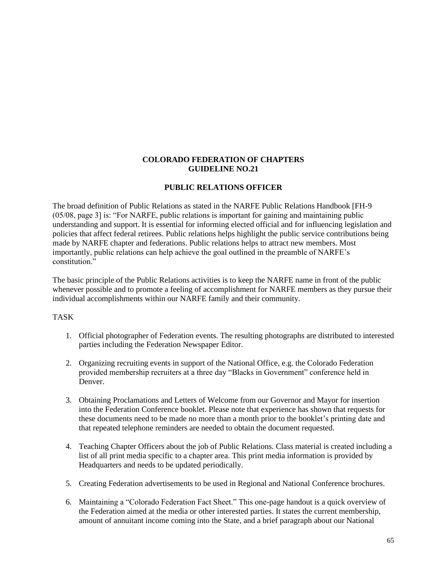#### **PUBLIC RELATIONS OFFICER**

The broad definition of Public Relations as stated in the NARFE Public Relations Handbook [FH-9 (05/08, page 3] is: "For NARFE, public relations is important for gaining and maintaining public understanding and support. It is essential for informing elected official and for influencing legislation and policies that affect federal retirees. Public relations helps highlight the public service contributions being made by NARFE chapter and federations. Public relations helps to attract new members. Most importantly, public relations can help achieve the goal outlined in the preamble of NARFE's constitution."

The basic principle of the Public Relations activities is to keep the NARFE name in front of the public whenever possible and to promote a feeling of accomplishment for NARFE members as they pursue their individual accomplishments within our NARFE family and their community.

#### TASK

- 1. Official photographer of Federation events. The resulting photographs are distributed to interested parties including the Federation Newspaper Editor.
- 2. Organizing recruiting events in support of the National Office, e.g. the Colorado Federation provided membership recruiters at a three day "Blacks in Government" conference held in Denver.
- 3. Obtaining Proclamations and Letters of Welcome from our Governor and Mayor for insertion into the Federation Conference booklet. Please note that experience has shown that requests for these documents need to be made no more than a month prior to the booklet's printing date and that repeated telephone reminders are needed to obtain the document requested.
- 4. Teaching Chapter Officers about the job of Public Relations. Class material is created including a list of all print media specific to a chapter area. This print media information is provided by Headquarters and needs to be updated periodically.
- 5. Creating Federation advertisements to be used in Regional and National Conference brochures.
- 6. Maintaining a "Colorado Federation Fact Sheet." This one-page handout is a quick overview of the Federation aimed at the media or other interested parties. It states the current membership, amount of annuitant income coming into the State, and a brief paragraph about our National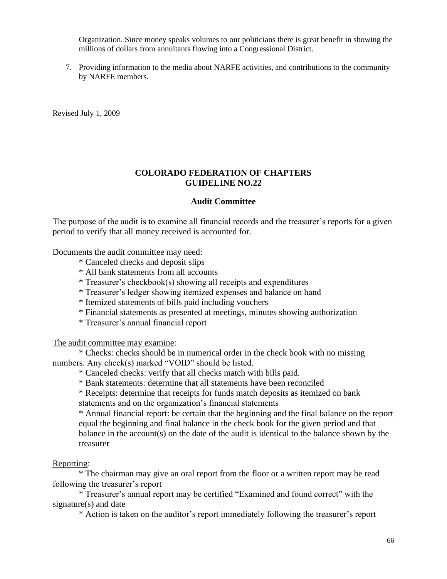Organization. Since money speaks volumes to our politicians there is great benefit in showing the millions of dollars from annuitants flowing into a Congressional District.

7. Providing information to the media about NARFE activities, and contributions to the community by NARFE members.

Revised July 1, 2009

#### **COLORADO FEDERATION OF CHAPTERS GUIDELINE NO.22**

#### **Audit Committee**

The purpose of the audit is to examine all financial records and the treasurer's reports for a given period to verify that all money received is accounted for.

#### Documents the audit committee may need:

- \* Canceled checks and deposit slips
- \* All bank statements from all accounts
- \* Treasurer's checkbook(s) showing all receipts and expenditures
- \* Treasurer's ledger showing itemized expenses and balance on hand
- \* Itemized statements of bills paid including vouchers
- \* Financial statements as presented at meetings, minutes showing authorization
- \* Treasurer's annual financial report

The audit committee may examine:

\* Checks: checks should be in numerical order in the check book with no missing numbers. Any check(s) marked "VOID" should be listed.

\* Canceled checks: verify that all checks match with bills paid.

\* Bank statements: determine that all statements have been reconciled

\* Receipts: determine that receipts for funds match deposits as itemized on bank statements and on the organization's financial statements

\* Annual financial report: be certain that the beginning and the final balance on the report equal the beginning and final balance in the check book for the given period and that balance in the account(s) on the date of the audit is identical to the balance shown by the treasurer

#### Reporting:

\* The chairman may give an oral report from the floor or a written report may be read following the treasurer's report

\* Treasurer's annual report may be certified "Examined and found correct" with the signature(s) and date

\* Action is taken on the auditor's report immediately following the treasurer's report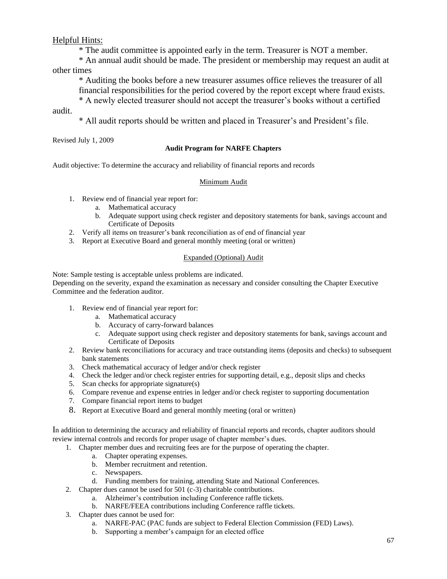### Helpful Hints:

\* The audit committee is appointed early in the term. Treasurer is NOT a member.

\* An annual audit should be made. The president or membership may request an audit at other times

\* Auditing the books before a new treasurer assumes office relieves the treasurer of all financial responsibilities for the period covered by the report except where fraud exists.

\* A newly elected treasurer should not accept the treasurer's books without a certified audit.

\* All audit reports should be written and placed in Treasurer's and President's file.

Revised July 1, 2009

#### **Audit Program for NARFE Chapters**

Audit objective: To determine the accuracy and reliability of financial reports and records

#### Minimum Audit

- 1. Review end of financial year report for:
	- a. Mathematical accuracy
	- b. Adequate support using check register and depository statements for bank, savings account and Certificate of Deposits
- 2. Verify all items on treasurer's bank reconciliation as of end of financial year
- 3. Report at Executive Board and general monthly meeting (oral or written)

#### Expanded (Optional) Audit

Note: Sample testing is acceptable unless problems are indicated.

Depending on the severity, expand the examination as necessary and consider consulting the Chapter Executive Committee and the federation auditor.

- 1. Review end of financial year report for:
	- a. Mathematical accuracy
	- b. Accuracy of carry-forward balances
	- c. Adequate support using check register and depository statements for bank, savings account and Certificate of Deposits
- 2. Review bank reconciliations for accuracy and trace outstanding items (deposits and checks) to subsequent bank statements
- 3. Check mathematical accuracy of ledger and/or check register
- 4. Check the ledger and/or check register entries for supporting detail, e.g., deposit slips and checks
- 5. Scan checks for appropriate signature(s)
- 6. Compare revenue and expense entries in ledger and/or check register to supporting documentation
- 7. Compare financial report items to budget
- 8. Report at Executive Board and general monthly meeting (oral or written)

In addition to determining the accuracy and reliability of financial reports and records, chapter auditors should review internal controls and records for proper usage of chapter member's dues.

- 1. Chapter member dues and recruiting fees are for the purpose of operating the chapter.
	- a. Chapter operating expenses.
	- b. Member recruitment and retention.
	- c. Newspapers.
	- d. Funding members for training, attending State and National Conferences.
- 2. Chapter dues cannot be used for 501 (c-3) charitable contributions.
	- a. Alzheimer's contribution including Conference raffle tickets.
	- b. NARFE/FEEA contributions including Conference raffle tickets.
- 3. Chapter dues cannot be used for:
	- a. NARFE-PAC (PAC funds are subject to Federal Election Commission (FED) Laws).
	- b. Supporting a member's campaign for an elected office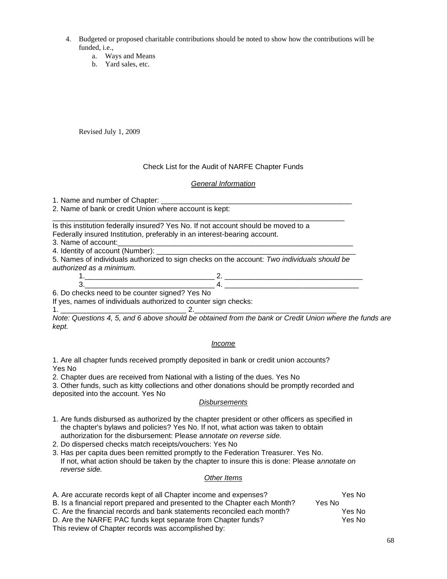- 4. Budgeted or proposed charitable contributions should be noted to show how the contributions will be funded, i.e.,
	- a. Ways and Means
	- b. Yard sales, etc.

Revised July 1, 2009

#### Check List for the Audit of NARFE Chapter Funds

#### *General Information*

1. Name and number of Chapter:

2. Name of bank or credit Union where account is kept:

\_\_\_\_\_\_\_\_\_\_\_\_\_\_\_\_\_\_\_\_\_\_\_\_\_\_\_\_\_\_\_\_\_\_\_\_\_\_\_\_\_\_\_\_\_\_\_\_\_\_\_\_\_\_\_\_\_\_\_\_\_\_\_\_\_\_\_\_\_\_\_\_ Is this institution federally insured? Yes No. If not account should be moved to a Federally insured Institution, preferably in an interest-bearing account.

3. Name of account:

4. Identity of account (Number):

5. Names of individuals authorized to sign checks on the account: *Two individuals should be authorized as a minimum.*

#### 1.\_\_\_\_\_\_\_\_\_\_\_\_\_\_\_\_\_\_\_\_\_\_\_\_\_\_\_\_\_\_\_\_ 2. \_\_\_\_\_\_\_\_\_\_\_\_\_\_\_\_\_\_\_\_\_\_\_\_\_\_\_\_\_\_\_\_\_\_ 3.\_\_\_\_\_\_\_\_\_\_\_\_\_\_\_\_\_\_\_\_\_\_\_\_\_\_\_\_\_\_\_\_ 4. \_\_\_\_\_\_\_\_\_\_\_\_\_\_\_\_\_\_\_\_\_\_\_\_\_\_\_\_\_\_\_\_\_

6. Do checks need to be counter signed? Yes No

If yes, names of individuals authorized to counter sign checks:

1. \_\_\_\_\_\_\_\_\_\_\_\_\_\_\_\_\_\_\_\_\_\_\_\_\_\_\_\_\_\_\_ 2.\_\_\_\_\_\_\_\_\_\_\_\_\_\_\_\_\_\_\_\_\_\_\_\_\_\_\_\_\_\_\_\_\_\_\_ *Note: Questions 4, 5, and 6 above should be obtained from the bank or Credit Union where the funds are kept.*

#### *Income*

1. Are all chapter funds received promptly deposited in bank or credit union accounts? Yes No

2. Chapter dues are received from National with a listing of the dues. Yes No

3. Other funds, such as kitty collections and other donations should be promptly recorded and deposited into the account. Yes No

#### *Disbursements*

1. Are funds disbursed as authorized by the chapter president or other officers as specified in the chapter's bylaws and policies? Yes No. If not, what action was taken to obtain authorization for the disbursement: Please a*nnotate on reverse side.*

2. Do dispersed checks match receipts/vouchers: Yes No

3. Has per capita dues been remitted promptly to the Federation Treasurer. Yes No. If not, what action should be taken by the chapter to insure this is done: Please a*nnotate on reverse side.*

#### *Other Items*

| A. Are accurate records kept of all Chapter income and expenses?           | Yes No |
|----------------------------------------------------------------------------|--------|
| B. Is a financial report prepared and presented to the Chapter each Month? | Yes No |
| C. Are the financial records and bank statements reconciled each month?    | Yes No |
| D. Are the NARFE PAC funds kept separate from Chapter funds?               | Yes No |
| This review of Chapter records was accomplished by:                        |        |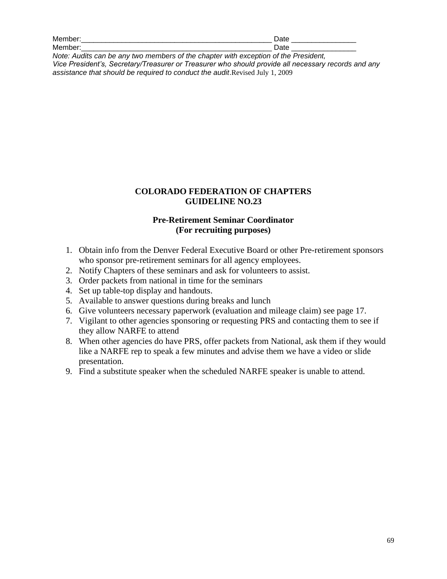| Meı<br>_____ |       |
|--------------|-------|
| Meı          | -     |
| _________    | _____ |
| __________   |       |

*Note: Audits can be any two members of the chapter with exception of the President, Vice President's, Secretary/Treasurer or Treasurer who should provide all necessary records and any assistance that should be required to conduct the audit*.Revised July 1, 2009

### **COLORADO FEDERATION OF CHAPTERS GUIDELINE NO.23**

## **Pre-Retirement Seminar Coordinator (For recruiting purposes)**

- 1. Obtain info from the Denver Federal Executive Board or other Pre-retirement sponsors who sponsor pre-retirement seminars for all agency employees.
- 2. Notify Chapters of these seminars and ask for volunteers to assist.
- 3. Order packets from national in time for the seminars
- 4. Set up table-top display and handouts.
- 5. Available to answer questions during breaks and lunch
- 6. Give volunteers necessary paperwork (evaluation and mileage claim) see page 17.
- 7. Vigilant to other agencies sponsoring or requesting PRS and contacting them to see if they allow NARFE to attend
- 8. When other agencies do have PRS, offer packets from National, ask them if they would like a NARFE rep to speak a few minutes and advise them we have a video or slide presentation.
- 9. Find a substitute speaker when the scheduled NARFE speaker is unable to attend.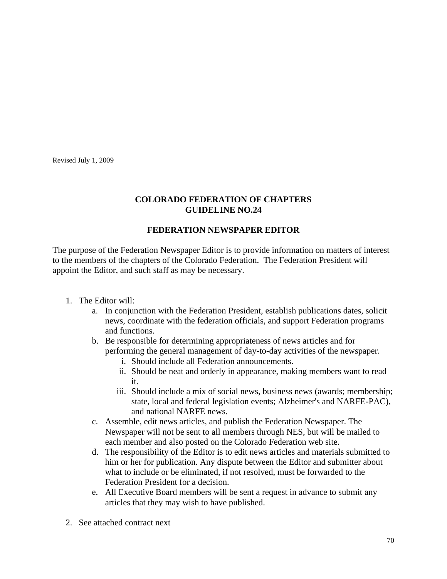Revised July 1, 2009

## **COLORADO FEDERATION OF CHAPTERS GUIDELINE NO.24**

## **FEDERATION NEWSPAPER EDITOR**

The purpose of the Federation Newspaper Editor is to provide information on matters of interest to the members of the chapters of the Colorado Federation. The Federation President will appoint the Editor, and such staff as may be necessary.

- 1. The Editor will:
	- a. In conjunction with the Federation President, establish publications dates, solicit news, coordinate with the federation officials, and support Federation programs and functions.
	- b. Be responsible for determining appropriateness of news articles and for performing the general management of day-to-day activities of the newspaper.
		- i. Should include all Federation announcements.
		- ii. Should be neat and orderly in appearance, making members want to read it.
		- iii. Should include a mix of social news, business news (awards; membership; state, local and federal legislation events; Alzheimer's and NARFE-PAC), and national NARFE news.
	- c. Assemble, edit news articles, and publish the Federation Newspaper. The Newspaper will not be sent to all members through NES, but will be mailed to each member and also posted on the Colorado Federation web site.
	- d. The responsibility of the Editor is to edit news articles and materials submitted to him or her for publication. Any dispute between the Editor and submitter about what to include or be eliminated, if not resolved, must be forwarded to the Federation President for a decision.
	- e. All Executive Board members will be sent a request in advance to submit any articles that they may wish to have published.
- 2. See attached contract next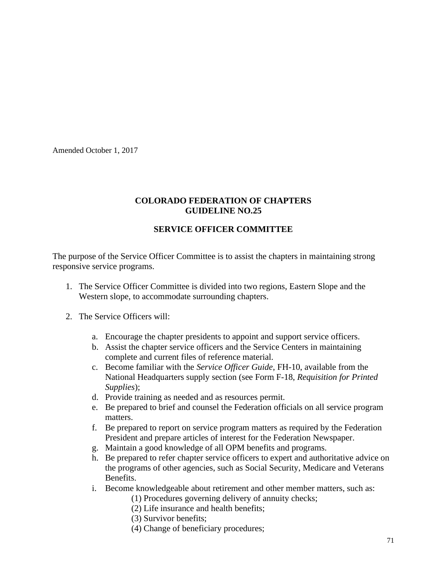Amended October 1, 2017

## **COLORADO FEDERATION OF CHAPTERS GUIDELINE NO.25**

## **SERVICE OFFICER COMMITTEE**

The purpose of the Service Officer Committee is to assist the chapters in maintaining strong responsive service programs.

- 1. The Service Officer Committee is divided into two regions, Eastern Slope and the Western slope, to accommodate surrounding chapters.
- 2. The Service Officers will:
	- a. Encourage the chapter presidents to appoint and support service officers.
	- b. Assist the chapter service officers and the Service Centers in maintaining complete and current files of reference material.
	- c. Become familiar with the *Service Officer Guide*, FH-10, available from the National Headquarters supply section (see Form F-18, *Requisition for Printed Supplies*);
	- d. Provide training as needed and as resources permit.
	- e. Be prepared to brief and counsel the Federation officials on all service program matters.
	- f. Be prepared to report on service program matters as required by the Federation President and prepare articles of interest for the Federation Newspaper.
	- g. Maintain a good knowledge of all OPM benefits and programs.
	- h. Be prepared to refer chapter service officers to expert and authoritative advice on the programs of other agencies, such as Social Security, Medicare and Veterans Benefits.
	- i. Become knowledgeable about retirement and other member matters, such as:
		- (1) Procedures governing delivery of annuity checks;
		- (2) Life insurance and health benefits;
		- (3) Survivor benefits;
		- (4) Change of beneficiary procedures;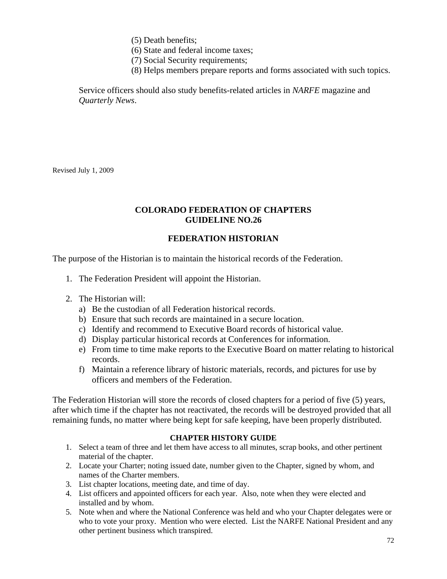(5) Death benefits;

(6) State and federal income taxes;

(7) Social Security requirements;

(8) Helps members prepare reports and forms associated with such topics.

Service officers should also study benefits-related articles in *NARFE* magazine and *Quarterly News*.

Revised July 1, 2009

## **COLORADO FEDERATION OF CHAPTERS GUIDELINE NO.26**

## **FEDERATION HISTORIAN**

The purpose of the Historian is to maintain the historical records of the Federation.

- 1. The Federation President will appoint the Historian.
- 2. The Historian will:
	- a) Be the custodian of all Federation historical records.
	- b) Ensure that such records are maintained in a secure location.
	- c) Identify and recommend to Executive Board records of historical value.
	- d) Display particular historical records at Conferences for information.
	- e) From time to time make reports to the Executive Board on matter relating to historical records.
	- f) Maintain a reference library of historic materials, records, and pictures for use by officers and members of the Federation.

The Federation Historian will store the records of closed chapters for a period of five (5) years, after which time if the chapter has not reactivated, the records will be destroyed provided that all remaining funds, no matter where being kept for safe keeping, have been properly distributed.

#### **CHAPTER HISTORY GUIDE**

- 1. Select a team of three and let them have access to all minutes, scrap books, and other pertinent material of the chapter.
- 2. Locate your Charter; noting issued date, number given to the Chapter, signed by whom, and names of the Charter members.
- 3. List chapter locations, meeting date, and time of day.
- 4. List officers and appointed officers for each year. Also, note when they were elected and installed and by whom.
- 5. Note when and where the National Conference was held and who your Chapter delegates were or who to vote your proxy. Mention who were elected. List the NARFE National President and any other pertinent business which transpired.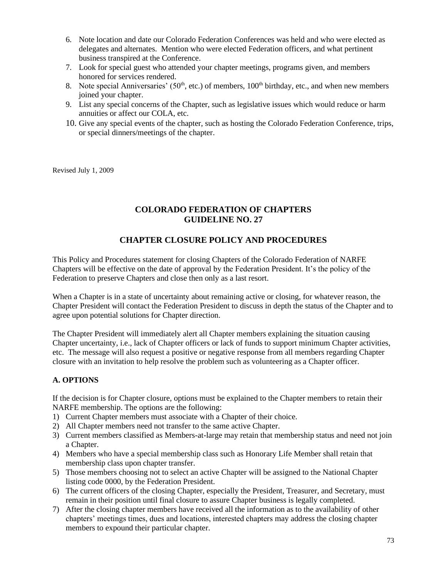- 6. Note location and date our Colorado Federation Conferences was held and who were elected as delegates and alternates. Mention who were elected Federation officers, and what pertinent business transpired at the Conference.
- 7. Look for special guest who attended your chapter meetings, programs given, and members honored for services rendered.
- 8. Note special Anniversaries'  $(50<sup>th</sup>, etc.)$  of members,  $100<sup>th</sup>$  birthday, etc., and when new members joined your chapter.
- 9. List any special concerns of the Chapter, such as legislative issues which would reduce or harm annuities or affect our COLA, etc.
- 10. Give any special events of the chapter, such as hosting the Colorado Federation Conference, trips, or special dinners/meetings of the chapter.

Revised July 1, 2009

## **COLORADO FEDERATION OF CHAPTERS GUIDELINE NO. 27**

## **CHAPTER CLOSURE POLICY AND PROCEDURES**

This Policy and Procedures statement for closing Chapters of the Colorado Federation of NARFE Chapters will be effective on the date of approval by the Federation President. It's the policy of the Federation to preserve Chapters and close then only as a last resort.

When a Chapter is in a state of uncertainty about remaining active or closing, for whatever reason, the Chapter President will contact the Federation President to discuss in depth the status of the Chapter and to agree upon potential solutions for Chapter direction.

The Chapter President will immediately alert all Chapter members explaining the situation causing Chapter uncertainty, i.e., lack of Chapter officers or lack of funds to support minimum Chapter activities, etc. The message will also request a positive or negative response from all members regarding Chapter closure with an invitation to help resolve the problem such as volunteering as a Chapter officer.

#### **A. OPTIONS**

If the decision is for Chapter closure, options must be explained to the Chapter members to retain their NARFE membership. The options are the following:

- 1) Current Chapter members must associate with a Chapter of their choice.
- 2) All Chapter members need not transfer to the same active Chapter.
- 3) Current members classified as Members-at-large may retain that membership status and need not join a Chapter.
- 4) Members who have a special membership class such as Honorary Life Member shall retain that membership class upon chapter transfer.
- 5) Those members choosing not to select an active Chapter will be assigned to the National Chapter listing code 0000, by the Federation President.
- 6) The current officers of the closing Chapter, especially the President, Treasurer, and Secretary, must remain in their position until final closure to assure Chapter business is legally completed.
- 7) After the closing chapter members have received all the information as to the availability of other chapters' meetings times, dues and locations, interested chapters may address the closing chapter members to expound their particular chapter.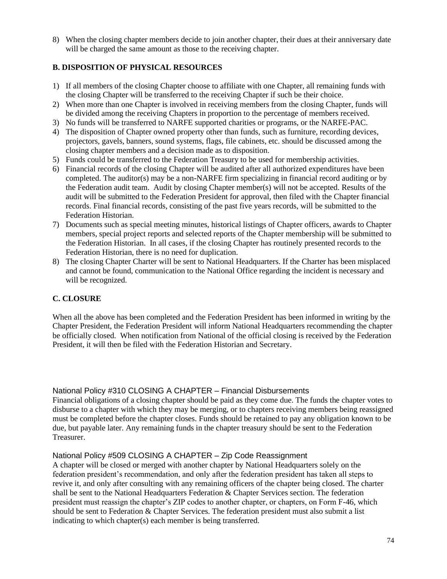8) When the closing chapter members decide to join another chapter, their dues at their anniversary date will be charged the same amount as those to the receiving chapter.

#### **B. DISPOSITION OF PHYSICAL RESOURCES**

- 1) If all members of the closing Chapter choose to affiliate with one Chapter, all remaining funds with the closing Chapter will be transferred to the receiving Chapter if such be their choice.
- 2) When more than one Chapter is involved in receiving members from the closing Chapter, funds will be divided among the receiving Chapters in proportion to the percentage of members received.
- 3) No funds will be transferred to NARFE supported charities or programs, or the NARFE-PAC.
- 4) The disposition of Chapter owned property other than funds, such as furniture, recording devices, projectors, gavels, banners, sound systems, flags, file cabinets, etc. should be discussed among the closing chapter members and a decision made as to disposition.
- 5) Funds could be transferred to the Federation Treasury to be used for membership activities.
- 6) Financial records of the closing Chapter will be audited after all authorized expenditures have been completed. The auditor(s) may be a non-NARFE firm specializing in financial record auditing or by the Federation audit team. Audit by closing Chapter member(s) will not be accepted. Results of the audit will be submitted to the Federation President for approval, then filed with the Chapter financial records. Final financial records, consisting of the past five years records, will be submitted to the Federation Historian.
- 7) Documents such as special meeting minutes, historical listings of Chapter officers, awards to Chapter members, special project reports and selected reports of the Chapter membership will be submitted to the Federation Historian. In all cases, if the closing Chapter has routinely presented records to the Federation Historian, there is no need for duplication.
- 8) The closing Chapter Charter will be sent to National Headquarters. If the Charter has been misplaced and cannot be found, communication to the National Office regarding the incident is necessary and will be recognized.

#### **C. CLOSURE**

When all the above has been completed and the Federation President has been informed in writing by the Chapter President, the Federation President will inform National Headquarters recommending the chapter be officially closed. When notification from National of the official closing is received by the Federation President, it will then be filed with the Federation Historian and Secretary.

National Policy #310 CLOSING A CHAPTER – Financial Disbursements

Financial obligations of a closing chapter should be paid as they come due. The funds the chapter votes to disburse to a chapter with which they may be merging, or to chapters receiving members being reassigned must be completed before the chapter closes. Funds should be retained to pay any obligation known to be due, but payable later. Any remaining funds in the chapter treasury should be sent to the Federation Treasurer.

#### National Policy #509 CLOSING A CHAPTER – Zip Code Reassignment

A chapter will be closed or merged with another chapter by National Headquarters solely on the federation president's recommendation, and only after the federation president has taken all steps to revive it, and only after consulting with any remaining officers of the chapter being closed. The charter shall be sent to the National Headquarters Federation & Chapter Services section. The federation president must reassign the chapter's ZIP codes to another chapter, or chapters, on Form F-46, which should be sent to Federation & Chapter Services. The federation president must also submit a list indicating to which chapter(s) each member is being transferred.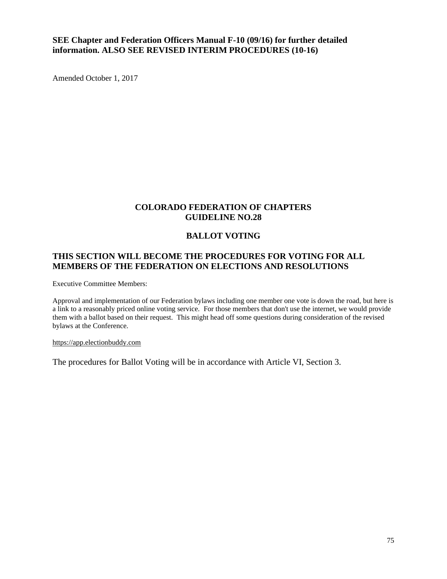## **SEE Chapter and Federation Officers Manual F-10 (09/16) for further detailed information. ALSO SEE REVISED INTERIM PROCEDURES (10-16)**

Amended October 1, 2017

## **COLORADO FEDERATION OF CHAPTERS GUIDELINE NO.28**

## **BALLOT VOTING**

## **THIS SECTION WILL BECOME THE PROCEDURES FOR VOTING FOR ALL MEMBERS OF THE FEDERATION ON ELECTIONS AND RESOLUTIONS**

Executive Committee Members:

Approval and implementation of our Federation bylaws including one member one vote is down the road, but here is a link to a reasonably priced online voting service. For those members that don't use the internet, we would provide them with a ballot based on their request. This might head off some questions during consideration of the revised bylaws at the Conference.

#### [https://app.electionbuddy.com](https://app.electionbuddy.com/)

The procedures for Ballot Voting will be in accordance with Article VI, Section 3.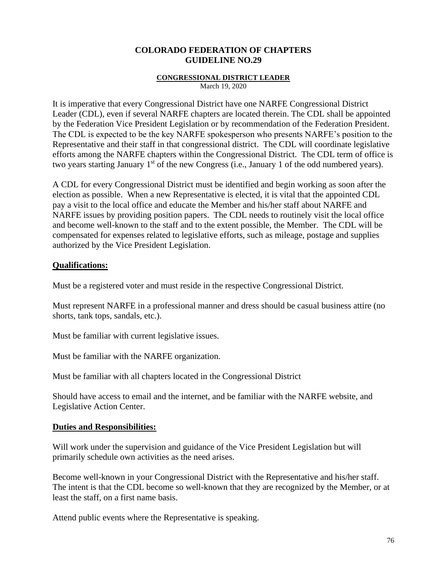#### **CONGRESSIONAL DISTRICT LEADER**

March 19, 2020

It is imperative that every Congressional District have one NARFE Congressional District Leader (CDL), even if several NARFE chapters are located therein. The CDL shall be appointed by the Federation Vice President Legislation or by recommendation of the Federation President. The CDL is expected to be the key NARFE spokesperson who presents NARFE's position to the Representative and their staff in that congressional district. The CDL will coordinate legislative efforts among the NARFE chapters within the Congressional District. The CDL term of office is two years starting January 1<sup>st</sup> of the new Congress (i.e., January 1 of the odd numbered years).

A CDL for every Congressional District must be identified and begin working as soon after the election as possible. When a new Representative is elected, it is vital that the appointed CDL pay a visit to the local office and educate the Member and his/her staff about NARFE and NARFE issues by providing position papers. The CDL needs to routinely visit the local office and become well-known to the staff and to the extent possible, the Member. The CDL will be compensated for expenses related to legislative efforts, such as mileage, postage and supplies authorized by the Vice President Legislation.

#### **Qualifications:**

Must be a registered voter and must reside in the respective Congressional District.

Must represent NARFE in a professional manner and dress should be casual business attire (no shorts, tank tops, sandals, etc.).

Must be familiar with current legislative issues.

Must be familiar with the NARFE organization.

Must be familiar with all chapters located in the Congressional District

Should have access to email and the internet, and be familiar with the NARFE website, and Legislative Action Center.

#### **Duties and Responsibilities:**

Will work under the supervision and guidance of the Vice President Legislation but will primarily schedule own activities as the need arises.

Become well-known in your Congressional District with the Representative and his/her staff. The intent is that the CDL become so well-known that they are recognized by the Member, or at least the staff, on a first name basis.

Attend public events where the Representative is speaking.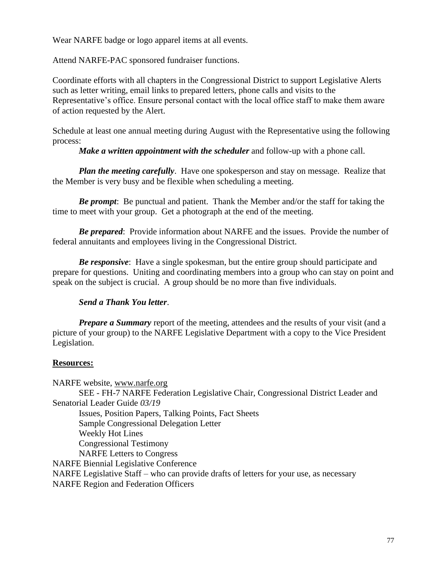Wear NARFE badge or logo apparel items at all events.

Attend NARFE-PAC sponsored fundraiser functions.

Coordinate efforts with all chapters in the Congressional District to support Legislative Alerts such as letter writing, email links to prepared letters, phone calls and visits to the Representative's office. Ensure personal contact with the local office staff to make them aware of action requested by the Alert.

Schedule at least one annual meeting during August with the Representative using the following process:

*Make a written appointment with the scheduler* and follow-up with a phone call.

*Plan the meeting carefully*. Have one spokesperson and stay on message. Realize that the Member is very busy and be flexible when scheduling a meeting.

*Be prompt*: Be punctual and patient. Thank the Member and/or the staff for taking the time to meet with your group. Get a photograph at the end of the meeting.

*Be prepared*: Provide information about NARFE and the issues. Provide the number of federal annuitants and employees living in the Congressional District.

*Be responsive*: Have a single spokesman, but the entire group should participate and prepare for questions. Uniting and coordinating members into a group who can stay on point and speak on the subject is crucial. A group should be no more than five individuals.

## *Send a Thank You letter*.

*Prepare a Summary* report of the meeting, attendees and the results of your visit (and a picture of your group) to the NARFE Legislative Department with a copy to the Vice President Legislation.

#### **Resources:**

NARFE website, [www.narfe.org](http://www.narfe.org/) SEE - [FH-7](http://www.narfe.org/pdf/fh-7.pdf) NARFE Federation Legislative Chair, Congressional District Leader and Senatorial Leader Guide *03/19* Issues, Position Papers, Talking Points, Fact Sheets Sample Congressional Delegation Letter Weekly Hot Lines Congressional Testimony NARFE Letters to Congress NARFE Biennial Legislative Conference NARFE Legislative Staff – who can provide drafts of letters for your use, as necessary NARFE Region and Federation Officers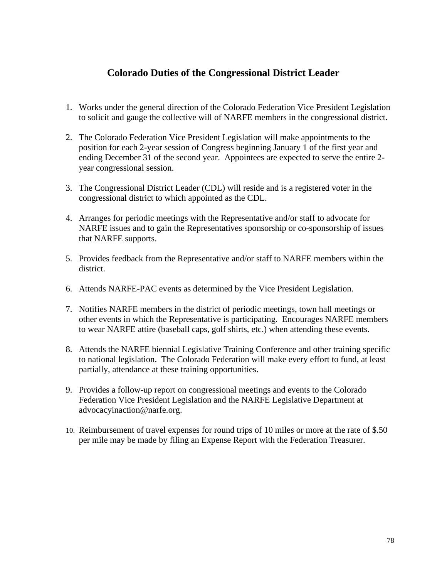## **Colorado Duties of the Congressional District Leader**

- 1. Works under the general direction of the Colorado Federation Vice President Legislation to solicit and gauge the collective will of NARFE members in the congressional district.
- 2. The Colorado Federation Vice President Legislation will make appointments to the position for each 2-year session of Congress beginning January 1 of the first year and ending December 31 of the second year. Appointees are expected to serve the entire 2 year congressional session.
- 3. The Congressional District Leader (CDL) will reside and is a registered voter in the congressional district to which appointed as the CDL.
- 4. Arranges for periodic meetings with the Representative and/or staff to advocate for NARFE issues and to gain the Representatives sponsorship or co-sponsorship of issues that NARFE supports.
- 5. Provides feedback from the Representative and/or staff to NARFE members within the district.
- 6. Attends NARFE-PAC events as determined by the Vice President Legislation.
- 7. Notifies NARFE members in the district of periodic meetings, town hall meetings or other events in which the Representative is participating. Encourages NARFE members to wear NARFE attire (baseball caps, golf shirts, etc.) when attending these events.
- 8. Attends the NARFE biennial Legislative Training Conference and other training specific to national legislation. The Colorado Federation will make every effort to fund, at least partially, attendance at these training opportunities.
- 9. Provides a follow-up report on congressional meetings and events to the Colorado Federation Vice President Legislation and the NARFE Legislative Department at [advocacyinaction@narfe.org.](mailto:advocacyinaction@narfe.org)
- 10. Reimbursement of travel expenses for round trips of 10 miles or more at the rate of \$.50 per mile may be made by filing an Expense Report with the Federation Treasurer.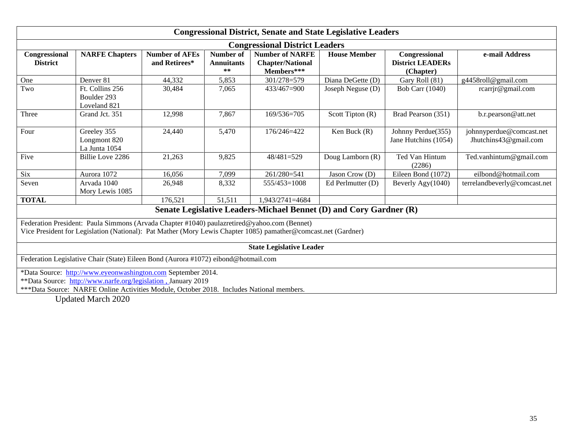| <b>Congressional District, Senate and State Legislative Leaders</b>                                                                                                                                                       |                                                |                                        |                                         |                                                                 |                     |                                                       |                                                   |
|---------------------------------------------------------------------------------------------------------------------------------------------------------------------------------------------------------------------------|------------------------------------------------|----------------------------------------|-----------------------------------------|-----------------------------------------------------------------|---------------------|-------------------------------------------------------|---------------------------------------------------|
| <b>Congressional District Leaders</b>                                                                                                                                                                                     |                                                |                                        |                                         |                                                                 |                     |                                                       |                                                   |
| Congressional<br><b>District</b>                                                                                                                                                                                          | <b>NARFE Chapters</b>                          | <b>Number of AFEs</b><br>and Retirees* | Number of<br><b>Annuitants</b><br>$***$ | <b>Number of NARFE</b><br><b>Chapter/National</b><br>Members*** | <b>House Member</b> | Congressional<br><b>District LEADERs</b><br>(Chapter) | e-mail Address                                    |
| One                                                                                                                                                                                                                       | Denver <sub>81</sub>                           | 44,332                                 | 5,853                                   | 301/278=579                                                     | Diana DeGette (D)   | Gary Roll (81)                                        | g4458roll@gmail.com                               |
| Two                                                                                                                                                                                                                       | Ft. Collins 256<br>Boulder 293<br>Loveland 821 | 30,484                                 | 7,065                                   | 433/467=900                                                     | Joseph Neguse (D)   | <b>Bob Carr (1040)</b>                                | rcarrjr@gmail.com                                 |
| Three                                                                                                                                                                                                                     | Grand Jct. 351                                 | 12,998                                 | 7,867                                   | 169/536=705                                                     | Scott Tipton (R)    | Brad Pearson (351)                                    | b.r.pearson@att.net                               |
| Four                                                                                                                                                                                                                      | Greeley 355<br>Longmont 820<br>La Junta 1054   | 24,440                                 | 5,470                                   | 176/246=422                                                     | Ken Buck $(R)$      | Johnny Perdue(355)<br>Jane Hutchins (1054)            | johnnyperdue@comcast.net<br>Jhutchins43@gmail.com |
| Five                                                                                                                                                                                                                      | Billie Love 2286                               | 21,263                                 | 9,825                                   | 48/481=529                                                      | Doug Lamborn (R)    | Ted Van Hintum<br>(2286)                              | Ted.vanhintum@gmail.com                           |
| <b>Six</b>                                                                                                                                                                                                                | Aurora 1072                                    | 16,056                                 | 7,099                                   | 261/280=541                                                     | Jason Crow (D)      | Eileen Bond (1072)                                    | eilbond@hotmail.com                               |
| Seven                                                                                                                                                                                                                     | Arvada 1040<br>Mory Lewis 1085                 | 26,948                                 | 8,332                                   | $555/453=1008$                                                  | Ed Perlmutter (D)   | Beverly Agy(1040)                                     | terrelandbeverly@comcast.net                      |
| <b>TOTAL</b>                                                                                                                                                                                                              |                                                | 176,521                                | 51,511                                  | 1,943/2741=4684                                                 |                     |                                                       |                                                   |
| Senate Legislative Leaders-Michael Bennet (D) and Cory Gardner (R)                                                                                                                                                        |                                                |                                        |                                         |                                                                 |                     |                                                       |                                                   |
| Federation President: Paula Simmons (Arvada Chapter #1040) paulazretired@yahoo.com (Bennet)<br>Vice President for Legislation (National): Pat Mather (Mory Lewis Chapter 1085) pamather@comcast.net (Gardner)             |                                                |                                        |                                         |                                                                 |                     |                                                       |                                                   |
| <b>State Legislative Leader</b>                                                                                                                                                                                           |                                                |                                        |                                         |                                                                 |                     |                                                       |                                                   |
| Federation Legislative Chair (State) Eileen Bond (Aurora #1072) eibond@hotmail.com                                                                                                                                        |                                                |                                        |                                         |                                                                 |                     |                                                       |                                                   |
| *Data Source: http://www.eyeonwashington.com September 2014.<br>**Data Source: http://www.narfe.org/legislation, January 2019<br>***Data Source: NARFE Online Activities Module, October 2018. Includes National members. |                                                |                                        |                                         |                                                                 |                     |                                                       |                                                   |

Updated March 2020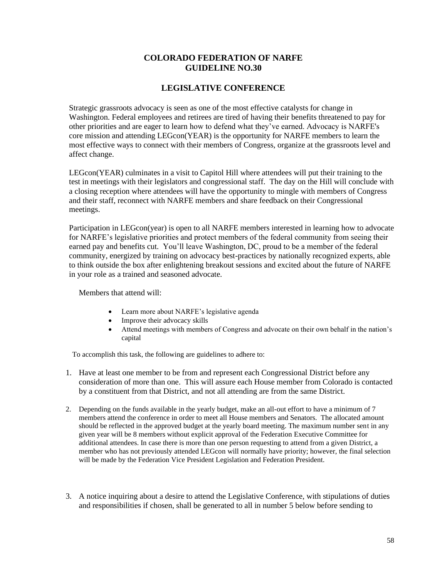#### **COLORADO FEDERATION OF NARFE GUIDELINE NO.30**

#### **LEGISLATIVE CONFERENCE**

Strategic grassroots advocacy is seen as one of the most effective catalysts for change in Washington. Federal employees and retirees are tired of having their benefits threatened to pay for other priorities and are eager to learn how to defend what they've earned. Advocacy is NARFE's core mission and attending LEGcon(YEAR) is the opportunity for NARFE members to learn the most effective ways to connect with their members of Congress, organize at the grassroots level and affect change.

LEGcon(YEAR) culminates in a visit to Capitol Hill where attendees will put their training to the test in meetings with their legislators and congressional staff. The day on the Hill will conclude with a closing reception where attendees will have the opportunity to mingle with members of Congress and their staff, reconnect with NARFE members and share feedback on their Congressional meetings.

Participation in LEGcon(year) is open to all NARFE members interested in learning how to advocate for NARFE's legislative priorities and protect members of the federal community from seeing their earned pay and benefits cut. You'll leave Washington, DC, proud to be a member of the federal community, energized by training on advocacy best-practices by nationally recognized experts, able to think outside the box after enlightening breakout sessions and excited about the future of NARFE in your role as a trained and seasoned advocate.

Members that attend will:

- Learn more about NARFE's legislative agenda
- Improve their advocacy skills
- Attend meetings with members of Congress and advocate on their own behalf in the nation's capital

To accomplish this task, the following are guidelines to adhere to:

- 1. Have at least one member to be from and represent each Congressional District before any consideration of more than one. This will assure each House member from Colorado is contacted by a constituent from that District, and not all attending are from the same District.
- 2. Depending on the funds available in the yearly budget, make an all-out effort to have a minimum of 7 members attend the conference in order to meet all House members and Senators. The allocated amount should be reflected in the approved budget at the yearly board meeting. The maximum number sent in any given year will be 8 members without explicit approval of the Federation Executive Committee for additional attendees. In case there is more than one person requesting to attend from a given District, a member who has not previously attended LEGcon will normally have priority; however, the final selection will be made by the Federation Vice President Legislation and Federation President.
- 3. A notice inquiring about a desire to attend the Legislative Conference, with stipulations of duties and responsibilities if chosen, shall be generated to all in number 5 below before sending to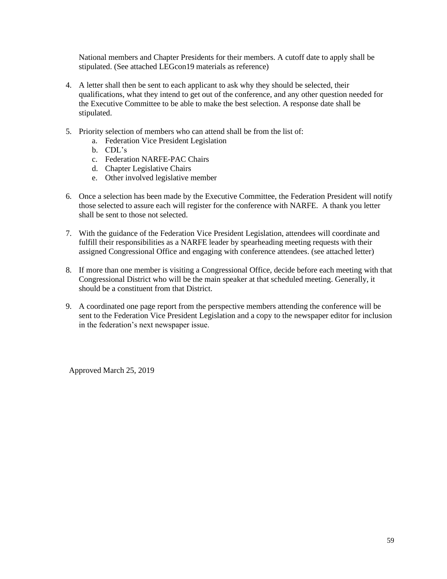National members and Chapter Presidents for their members. A cutoff date to apply shall be stipulated. (See attached LEGcon19 materials as reference)

- 4. A letter shall then be sent to each applicant to ask why they should be selected, their qualifications, what they intend to get out of the conference, and any other question needed for the Executive Committee to be able to make the best selection. A response date shall be stipulated.
- 5. Priority selection of members who can attend shall be from the list of:
	- a. Federation Vice President Legislation
	- b. CDL's
	- c. Federation NARFE-PAC Chairs
	- d. Chapter Legislative Chairs
	- e. Other involved legislative member
- 6. Once a selection has been made by the Executive Committee, the Federation President will notify those selected to assure each will register for the conference with NARFE. A thank you letter shall be sent to those not selected.
- 7. With the guidance of the Federation Vice President Legislation, attendees will coordinate and fulfill their responsibilities as a NARFE leader by spearheading meeting requests with their assigned Congressional Office and engaging with conference attendees. (see attached letter)
- 8. If more than one member is visiting a Congressional Office, decide before each meeting with that Congressional District who will be the main speaker at that scheduled meeting. Generally, it should be a constituent from that District.
- 9. A coordinated one page report from the perspective members attending the conference will be sent to the Federation Vice President Legislation and a copy to the newspaper editor for inclusion in the federation's next newspaper issue.

Approved March 25, 2019